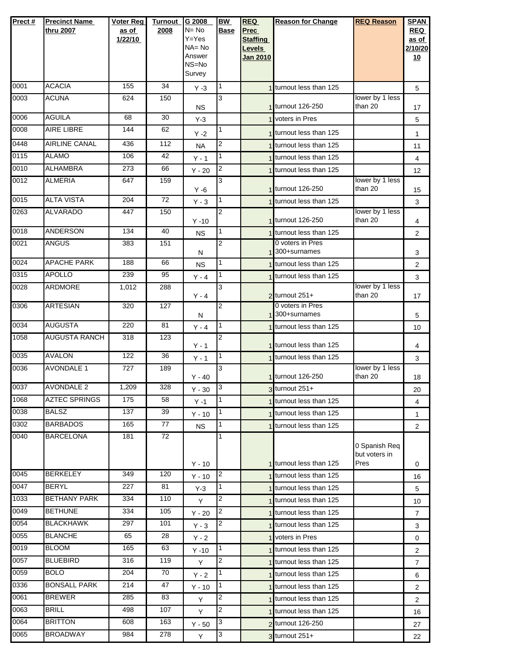| Prect#       | <b>Precinct Name</b>               | Voter Reg  | <b>Turnout</b>  | G 2008          | <b>BW</b>           | <b>REQ</b>                | <b>Reason for Change</b>                           | <b>REQ Reason</b>          | <b>SPAN</b>                      |
|--------------|------------------------------------|------------|-----------------|-----------------|---------------------|---------------------------|----------------------------------------------------|----------------------------|----------------------------------|
|              | thru 2007                          | as of      | 2008            | $N = No$        | <b>Base</b>         | <b>Prec</b>               |                                                    |                            | <b>REQ</b>                       |
|              |                                    | 1/22/10    |                 | Y=Yes<br>NA= No |                     | <b>Staffing</b>           |                                                    |                            | as of                            |
|              |                                    |            |                 | Answer          |                     | Levels<br><b>Jan 2010</b> |                                                    |                            | 2/10/20<br>10                    |
|              |                                    |            |                 | NS=No           |                     |                           |                                                    |                            |                                  |
|              |                                    |            |                 | Survey          |                     |                           |                                                    |                            |                                  |
| 0001         | <b>ACACIA</b>                      | 155        | 34              | $Y - 3$         | 1                   |                           | 1 turnout less than 125                            |                            | 5                                |
| 0003         | <b>ACUNA</b>                       | 624        | 150             | <b>NS</b>       | 3                   |                           | 1 turnout 126-250                                  | lower by 1 less<br>than 20 | 17                               |
| 0006         | <b>AGUILA</b>                      | 68         | 30              | $Y-3$           |                     |                           | 1 voters in Pres                                   |                            | 5                                |
| 0008         | <b>AIRE LIBRE</b>                  | 144        | 62              | $Y - 2$         | 1                   |                           | 1 turnout less than 125                            |                            | 1                                |
| 0448         | <b>AIRLINE CANAL</b>               | 436        | 112             | <b>NA</b>       | 2                   |                           | 1 turnout less than 125                            |                            | 11                               |
| 0115         | <b>ALAMO</b>                       | 106        | 42              | $Y - 1$         | 1                   |                           | 1 turnout less than 125                            |                            | 4                                |
| 0010         | <b>ALHAMBRA</b>                    | 273        | 66              | $Y - 20$        | $\overline{c}$      |                           | 1 turnout less than 125                            |                            | 12                               |
| 0012         | <b>ALMERIA</b>                     | 647        | 159             | $Y - 6$         | 3                   |                           | 1 turnout 126-250                                  | lower by 1 less<br>than 20 | 15                               |
| 0015         | <b>ALTA VISTA</b>                  | 204        | $\overline{72}$ | $Y - 3$         | $\mathbf{1}$        |                           | 1 turnout less than 125                            |                            | 3                                |
| 0263         | <b>ALVARADO</b>                    | 447        | 150             | $Y - 10$        | 2                   |                           | 1 turnout 126-250                                  | lower by 1 less<br>than 20 | 4                                |
| 0018         | <b>ANDERSON</b>                    | 134        | 40              | <b>NS</b>       |                     |                           | 1 turnout less than 125                            |                            | $\overline{2}$                   |
| 0021         | ANGUS                              | 383        | 151             |                 | 2                   |                           | 0 voters in Pres                                   |                            |                                  |
| 0024         | <b>APACHE PARK</b>                 | 188        | 66              | N               | 1                   |                           | 1 300+surnames                                     |                            | 3                                |
| 0315         | <b>APOLLO</b>                      | 239        | 95              | <b>NS</b>       | 1                   |                           | 1 turnout less than 125                            |                            | $\overline{2}$                   |
| 0028         | <b>ARDMORE</b>                     | 1,012      | 288             | $Y - 4$         | 3                   |                           | 1 turnout less than 125                            | lower by 1 less            | 3                                |
|              |                                    |            |                 | $Y - 4$         |                     |                           | $2$ turnout 251+                                   | than 20                    | 17                               |
| 0306         | <b>ARTESIAN</b>                    | 320        | 127             | N               | $\overline{2}$      |                           | 0 voters in Pres<br>1 300+surnames                 |                            | 5                                |
| 0034         | <b>AUGUSTA</b>                     | 220        | 81              | $Y - 4$         | $\mathbf{1}$        |                           | 1 turnout less than 125                            |                            | 10                               |
| 1058         | <b>AUGUSTA RANCH</b>               | 318        | 123             |                 | $\overline{2}$      |                           |                                                    |                            |                                  |
| 0035         | <b>AVALON</b>                      | 122        | 36              | $Y - 1$         | 1                   |                           | 1 turnout less than 125<br>1 turnout less than 125 |                            | 4                                |
| 0036         | <b>AVONDALE 1</b>                  | 727        | 189             | $Y - 1$         | 3                   |                           |                                                    | lower by 1 less            | 3                                |
|              |                                    |            |                 | $Y - 40$        |                     |                           | 1 turnout 126-250                                  | than 20                    | 18                               |
| 0037         | <b>AVONDALE 2</b>                  | 1,209      | 328             | $Y - 30$        | 3                   |                           | $3$ turnout 251+                                   |                            | 20                               |
| 1068         | <b>AZTEC SPRINGS</b>               | 175        | 58              | $Y - 1$         | 1.                  |                           | 1 turnout less than 125                            |                            | 4                                |
| 0038         | BALSZ                              | 137        | 39              | $Y - 10$        | 1                   |                           | 1 turnout less than 125                            |                            | 1                                |
| 0302         | <b>BARBADOS</b>                    | 165        | 77              | <b>NS</b>       | 1                   |                           | 1 turnout less than 125                            |                            | $\overline{2}$                   |
| 0040         | <b>BARCELONA</b>                   | 181        | 72              |                 | 1                   |                           |                                                    | 0 Spanish Req              |                                  |
|              |                                    |            |                 |                 |                     |                           |                                                    | but voters in              |                                  |
|              |                                    |            |                 | $Y - 10$        |                     |                           | 1 turnout less than 125                            | Pres                       | 0                                |
| 0045         | <b>BERKELEY</b>                    | 349        | 120             | $Y - 10$        | $\overline{2}$      |                           | 1 turnout less than 125                            |                            | 16                               |
| 0047         | <b>BERYL</b>                       | 227        | 81              | $Y-3$           | 1                   |                           | 1 turnout less than 125                            |                            | 5                                |
| 1033         | <b>BETHANY PARK</b>                | 334        | 110             | Y               | 2                   |                           | 1 turnout less than 125                            |                            | 10                               |
| 0049         | <b>BETHUNE</b>                     | 334        | 105             | $Y - 20$        | $\overline{2}$      |                           | 1 turnout less than 125                            |                            | 7                                |
| 0054<br>0055 | <b>BLACKHAWK</b><br><b>BLANCHE</b> | 297        | 101             | $Y - 3$         | 2                   |                           | 1 turnout less than 125                            |                            | 3                                |
|              |                                    | 65         | 28              | Y - 2           |                     |                           | 1 voters in Pres                                   |                            | 0                                |
| 0019<br>0057 | <b>BLOOM</b><br><b>BLUEBIRD</b>    | 165<br>316 | 63<br>119       | $Y - 10$        | 1<br>$\overline{2}$ |                           | turnout less than 125                              |                            | $\overline{2}$                   |
| 0059         | <b>BOLO</b>                        | 204        | 70              | Y               | 1                   |                           | 1 turnout less than 125                            |                            | $\overline{7}$                   |
| 0336         | <b>BONSALL PARK</b>                | 214        | 47              | $Y - 2$         |                     |                           | 1 turnout less than 125<br>1 turnout less than 125 |                            | 6                                |
| 0061         | <b>BREWER</b>                      | 285        | 83              | $Y - 10$<br>Y   | 2                   |                           | 1 turnout less than 125                            |                            | $\overline{2}$<br>$\overline{2}$ |
| 0063         | <b>BRILL</b>                       | 498        | 107             | Y               | 2                   |                           | 1 turnout less than 125                            |                            | 16                               |
| 0064         | <b>BRITTON</b>                     | 608        | 163             | $Y - 50$        | 3                   |                           | 2 turnout 126-250                                  |                            | 27                               |
| 0065         | <b>BROADWAY</b>                    | 984        | 278             | Y               | 3                   |                           | $3$ turnout $251+$                                 |                            | 22                               |
|              |                                    |            |                 |                 |                     |                           |                                                    |                            |                                  |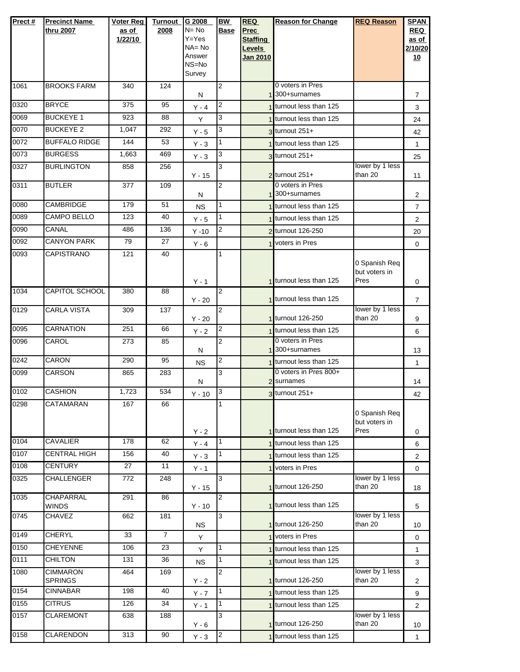| Prect#       | <b>Precinct Name</b><br>thru 2007       | <b>Voter Reg</b><br>as of<br>1/22/10 | <b>Turnout</b><br>2008 | G 2008<br>$N = No$<br>Y=Yes<br>NA=No<br>Answer<br>NS=No<br>Survey | <b>BW</b><br><b>Base</b> | <b>REQ</b><br><b>Prec</b><br><b>Staffing</b><br>Levels<br>Jan 2010 | <b>Reason for Change</b>                       | <b>REQ Reason</b>                      | <b>SPAN</b><br><b>REQ</b><br>as of<br>2/10/20<br><u>10</u> |
|--------------|-----------------------------------------|--------------------------------------|------------------------|-------------------------------------------------------------------|--------------------------|--------------------------------------------------------------------|------------------------------------------------|----------------------------------------|------------------------------------------------------------|
| 1061         | <b>BROOKS FARM</b>                      | 340                                  | 124                    | N                                                                 | 2                        |                                                                    | 0 voters in Pres<br>1 300+surnames             |                                        | $\overline{7}$                                             |
| 0320         | <b>BRYCE</b>                            | 375                                  | 95                     | $Y - 4$                                                           | 2                        |                                                                    | 1 turnout less than 125                        |                                        | 3                                                          |
| 0069         | <b>BUCKEYE 1</b>                        | 923                                  | 88                     | Y                                                                 | 3                        |                                                                    | 1 turnout less than 125                        |                                        | 24                                                         |
| 0070         | <b>BUCKEYE 2</b>                        | 1,047                                | 292                    | $Y - 5$                                                           | 3                        |                                                                    | 3 turnout 251+                                 |                                        | 42                                                         |
| 0072         | <b>BUFFALO RIDGE</b>                    | 144                                  | 53                     | $Y - 3$                                                           | 1                        |                                                                    | 1 turnout less than 125                        |                                        | $\mathbf{1}$                                               |
| 0073         | <b>BURGESS</b>                          | 1,663                                | 469                    | $Y - 3$                                                           | 3                        |                                                                    | $3$ turnout 251+                               |                                        | 25                                                         |
| 0327         | <b>BURLINGTON</b>                       | 858                                  | 256                    | $Y - 15$                                                          | 3                        |                                                                    | 2 turnout 251+                                 | lower by 1 less<br>than 20             | 11                                                         |
| 0311         | <b>BUTLER</b>                           | 377                                  | 109                    | N                                                                 | $\overline{2}$           |                                                                    | 0 voters in Pres<br>300+surnames               |                                        | $\overline{2}$                                             |
| 0080         | CAMBRIDGE                               | 179                                  | 51                     | <b>NS</b>                                                         | 1                        |                                                                    | 1 turnout less than 125                        |                                        | $\overline{7}$                                             |
| 0089         | <b>CAMPO BELLO</b>                      | 123                                  | 40                     | $Y - 5$                                                           | $\mathbf{1}$             |                                                                    | 1 turnout less than 125                        |                                        | 2                                                          |
| 0090         | CANAL                                   | 486                                  | 136                    | $Y - 10$                                                          | 2                        |                                                                    | 2 turnout 126-250                              |                                        | 20                                                         |
| 0092<br>0093 | <b>CANYON PARK</b><br><b>CAPISTRANO</b> | 79                                   | 27                     | $Y - 6$                                                           |                          |                                                                    | 1 voters in Pres                               |                                        | 0                                                          |
|              |                                         | 121                                  | 40                     | $Y - 1$                                                           | 1                        |                                                                    | 1 turnout less than 125                        | 0 Spanish Req<br>but voters in<br>Pres | 0                                                          |
| 1034         | <b>CAPITOL SCHOOL</b>                   | 380                                  | 88                     | $Y - 20$                                                          | $\overline{2}$           |                                                                    | 1 turnout less than 125                        |                                        | 7                                                          |
| 0129         | <b>CARLA VISTA</b>                      | 309                                  | 137                    | $Y - 20$                                                          | 2                        |                                                                    | 1 turnout 126-250                              | lower by 1 less<br>than 20             | 9                                                          |
| 0095         | <b>CARNATION</b>                        | 251                                  | 66                     | $Y - 2$                                                           | 2                        |                                                                    | 1 turnout less than 125                        |                                        | 6                                                          |
| 0096         | CAROL                                   | 273                                  | 85                     | N                                                                 | $\overline{2}$           |                                                                    | 0 voters in Pres<br>1 300+surnames             |                                        | 13                                                         |
| 0242         | CARON                                   | 290                                  | 95                     | <b>NS</b>                                                         | 2                        |                                                                    | 1 turnout less than 125                        |                                        | $\mathbf{1}$                                               |
| 0099         | <b>CARSON</b>                           | 865                                  | 283                    | N                                                                 | 3                        |                                                                    | 0 voters in Pres 800+<br>2 <sup>surnames</sup> |                                        | 14                                                         |
| 0102         | <b>CASHION</b>                          | 1,723                                | 534                    | $Y - 10$                                                          | 3                        |                                                                    | 3 turnout 251+                                 |                                        | 42                                                         |
| 0298         | CATAMARAN                               | 167                                  | 66                     | $Y - 2$                                                           |                          |                                                                    | 1 turnout less than 125                        | 0 Spanish Req<br>but voters in<br>Pres | 0                                                          |
| 0104         | <b>CAVALIER</b>                         | 178                                  | 62                     | $Y - 4$                                                           | 1                        |                                                                    | 1 turnout less than 125                        |                                        | 6                                                          |
| 0107         | <b>CENTRAL HIGH</b>                     | 156                                  | 40                     | $Y - 3$                                                           | $\overline{1}$           |                                                                    | 1 turnout less than 125                        |                                        | $\overline{2}$                                             |
| 0108         | <b>CENTURY</b>                          | 27                                   | 11                     | $Y - 1$                                                           |                          |                                                                    | 1 voters in Pres                               |                                        | $\mathbf 0$                                                |
| 0325         | CHALLENGER                              | 772                                  | 248                    | $Y - 15$                                                          | 3                        |                                                                    | 1 turnout 126-250                              | lower by 1 less<br>than 20             | 18                                                         |
| 1035         | <b>CHAPARRAL</b><br><b>WINDS</b>        | 291                                  | 86                     | $Y - 10$                                                          | $\overline{2}$           |                                                                    | 1 turnout less than 125                        |                                        | 5                                                          |
| 0745         | <b>CHAVEZ</b>                           | 662                                  | 181                    | <b>NS</b>                                                         | 3                        |                                                                    | 1 turnout 126-250                              | lower by 1 less<br>than 20             | 10                                                         |
| 0149         | <b>CHERYL</b>                           | 33                                   | $\overline{7}$         | Y                                                                 |                          |                                                                    | 1 voters in Pres                               |                                        | 0                                                          |
| 0150<br>0111 | <b>CHEYENNE</b>                         | 106                                  | 23                     | Y                                                                 | 1                        |                                                                    | 1 turnout less than 125                        |                                        | 1                                                          |
| 1080         | <b>CHILTON</b><br><b>CIMMARON</b>       | 131                                  | 36                     | <b>NS</b>                                                         | 1<br>$\overline{2}$      |                                                                    | 1 turnout less than 125                        | lower by 1 less                        | 3                                                          |
|              | <b>SPRINGS</b>                          | 464                                  | 169                    | $Y - 2$                                                           |                          |                                                                    | 1 turnout 126-250                              | than 20                                | 2                                                          |
| 0154         | <b>CINNABAR</b>                         | 198                                  | 40                     | $Y - 7$                                                           | $\overline{1}$           |                                                                    | 1 turnout less than 125                        |                                        | 9                                                          |
| 0155<br>0157 | <b>CITRUS</b><br><b>CLAREMONT</b>       | 126<br>638                           | 34<br>188              | $Y - 1$                                                           | 1<br>3                   |                                                                    | 1 turnout less than 125                        | lower by 1 less                        | $\overline{2}$                                             |
|              |                                         |                                      |                        | $Y - 6$                                                           |                          |                                                                    | 1 turnout 126-250                              | than 20                                | 10                                                         |
| 0158         | <b>CLARENDON</b>                        | 313                                  | 90                     | $Y - 3$                                                           | $\overline{c}$           |                                                                    | 1 turnout less than 125                        |                                        | $\mathbf{1}$                                               |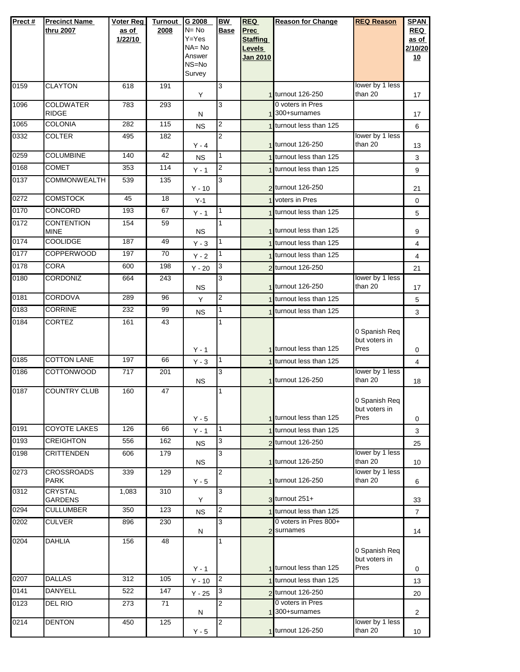| Prect# | <b>Precinct Name</b><br>thru 2007 | <b>Voter Reg</b><br>as of<br>1/22/10 | <b>Turnout</b><br>2008 | G 2008<br>$N = No$<br>Y=Yes<br>$NA = No$<br>Answer<br>NS=No<br>Survey | <b>BW</b><br><b>Base</b> | <b>REQ</b><br><b>Prec</b><br><b>Staffing</b><br>Levels<br>Jan 2010 | <b>Reason for Change</b>            | <b>REQ Reason</b>                      | <b>SPAN</b><br><b>REQ</b><br>as of<br>2/10/20<br>10 |
|--------|-----------------------------------|--------------------------------------|------------------------|-----------------------------------------------------------------------|--------------------------|--------------------------------------------------------------------|-------------------------------------|----------------------------------------|-----------------------------------------------------|
| 0159   | <b>CLAYTON</b>                    | 618                                  | 191                    | Y                                                                     | 3                        |                                                                    | 1 turnout 126-250                   | lower by 1 less<br>than 20             | 17                                                  |
| 1096   | <b>COLDWATER</b><br><b>RIDGE</b>  | 783                                  | 293                    | N                                                                     | 3                        |                                                                    | 0 voters in Pres<br>1300+surnames   |                                        | 17                                                  |
| 1065   | <b>COLONIA</b>                    | 282                                  | $\overline{115}$       | <b>NS</b>                                                             | 2                        |                                                                    | 1 turnout less than 125             |                                        | 6                                                   |
| 0332   | <b>COLTER</b>                     | 495                                  | 182                    | $Y - 4$                                                               | $\overline{2}$           |                                                                    | 1 turnout 126-250                   | lower by 1 less<br>than 20             | 13                                                  |
| 0259   | <b>COLUMBINE</b>                  | 140                                  | 42                     | <b>NS</b>                                                             | 1                        |                                                                    | 1 turnout less than 125             |                                        | 3                                                   |
| 0168   | <b>COMET</b>                      | 353                                  | 114                    | $Y - 1$                                                               | $\overline{2}$           |                                                                    | 1 turnout less than 125             |                                        | 9                                                   |
| 0137   | <b>COMMONWEALTH</b>               | 539                                  | 135                    | $Y - 10$                                                              | 3                        |                                                                    | 2 turnout 126-250                   |                                        | 21                                                  |
| 0272   | <b>COMSTOCK</b>                   | 45                                   | 18                     | $Y-1$                                                                 |                          |                                                                    | 1 voters in Pres                    |                                        | 0                                                   |
| 0170   | CONCORD                           | 193                                  | 67                     | $Y - 1$                                                               | 1                        |                                                                    | 1 turnout less than 125             |                                        | 5                                                   |
| 0172   | <b>CONTENTION</b><br><b>MINE</b>  | 154                                  | 59                     | <b>NS</b>                                                             | 1                        |                                                                    | 1 turnout less than 125             |                                        | 9                                                   |
| 0174   | <b>COOLIDGE</b>                   | 187                                  | 49                     | $Y - 3$                                                               | 1                        |                                                                    | 1 turnout less than 125             |                                        | 4                                                   |
| 0177   | <b>COPPERWOOD</b>                 | 197                                  | 70                     | $Y - 2$                                                               | 1                        |                                                                    | 1 turnout less than 125             |                                        | 4                                                   |
| 0178   | <b>CORA</b>                       | 600                                  | 198                    | $Y - 20$                                                              | 3                        |                                                                    | 2 turnout 126-250                   |                                        | 21                                                  |
| 0180   | <b>CORDONIZ</b>                   | 664                                  | 243                    | <b>NS</b>                                                             | 3                        |                                                                    | 1 turnout 126-250                   | lower by 1 less<br>than 20             | 17                                                  |
| 0181   | <b>CORDOVA</b>                    | 289                                  | 96                     | Y                                                                     | 2                        |                                                                    | 1 turnout less than 125             |                                        | 5                                                   |
| 0183   | <b>CORRINE</b>                    | 232                                  | 99                     | <b>NS</b>                                                             | 1                        |                                                                    | 1 turnout less than 125             |                                        | 3                                                   |
| 0184   | <b>CORTEZ</b>                     | 161                                  | 43                     | $Y - 1$                                                               | 1                        |                                                                    | 1 turnout less than 125             | 0 Spanish Req<br>but voters in<br>Pres | 0                                                   |
| 0185   | <b>COTTON LANE</b>                | 197                                  | 66                     | $Y - 3$                                                               | 1                        |                                                                    | 1 turnout less than 125             |                                        | 4                                                   |
| 0186   | <b>COTTONWOOD</b>                 | 717                                  | 201                    | <b>NS</b>                                                             | 3                        |                                                                    | 1 turnout 126-250                   | lower by 1 less<br>than 20             | 18                                                  |
| 0187   | <b>COUNTRY CLUB</b>               | 160                                  | 47                     | $Y - 5$                                                               | 1                        |                                                                    | 1 turnout less than 125             | 0 Spanish Req<br>but voters in<br>Pres | 0                                                   |
| 0191   | <b>COYOTE LAKES</b>               | 126                                  | 66                     | $Y - 1$                                                               | $\mathbf{1}$             |                                                                    | 1 turnout less than 125             |                                        | 3                                                   |
| 0193   | <b>CREIGHTON</b>                  | 556                                  | 162                    | <b>NS</b>                                                             | 3                        |                                                                    | 2 turnout 126-250                   |                                        | 25                                                  |
| 0198   | <b>CRITTENDEN</b>                 | 606                                  | 179                    | NS.                                                                   | 3                        |                                                                    | 1 turnout 126-250                   | lower by 1 less<br>than 20             | 10                                                  |
| 0273   | <b>CROSSROADS</b><br><b>PARK</b>  | 339                                  | 129                    | $Y - 5$                                                               | 2                        |                                                                    | 1 turnout 126-250                   | lower by 1 less<br>than 20             | 6                                                   |
| 0312   | <b>CRYSTAL</b><br><b>GARDENS</b>  | 1,083                                | 310                    | Y                                                                     | 3                        |                                                                    | $3$ turnout $251+$                  |                                        | 33                                                  |
| 0294   | <b>CULLUMBER</b>                  | 350                                  | 123                    | <b>NS</b>                                                             | 2                        |                                                                    | 1 turnout less than 125             |                                        | $\overline{7}$                                      |
| 0202   | CULVER                            | 896                                  | 230                    | N                                                                     | 3                        |                                                                    | 0 voters in Pres 800+<br>2 surnames |                                        | 14                                                  |
| 0204   | <b>DAHLIA</b>                     | 156                                  | 48                     | $Y - 1$                                                               |                          |                                                                    | 1 turnout less than 125             | 0 Spanish Req<br>but voters in<br>Pres | 0                                                   |
| 0207   | <b>DALLAS</b>                     | 312                                  | 105                    | $Y - 10$                                                              | $\overline{2}$           |                                                                    | 1 turnout less than 125             |                                        | 13                                                  |
| 0141   | <b>DANYELL</b>                    | 522                                  | 147                    | $Y - 25$                                                              | 3                        |                                                                    | 2 turnout 126-250                   |                                        | 20                                                  |
| 0123   | DEL RIO                           | 273                                  | $\overline{71}$        | N                                                                     | 2                        |                                                                    | 0 voters in Pres<br>300+surnames    |                                        | $\overline{2}$                                      |
| 0214   | <b>DENTON</b>                     | 450                                  | 125                    | $Y - 5$                                                               | 2                        |                                                                    | 1 turnout 126-250                   | lower by 1 less<br>than 20             | 10                                                  |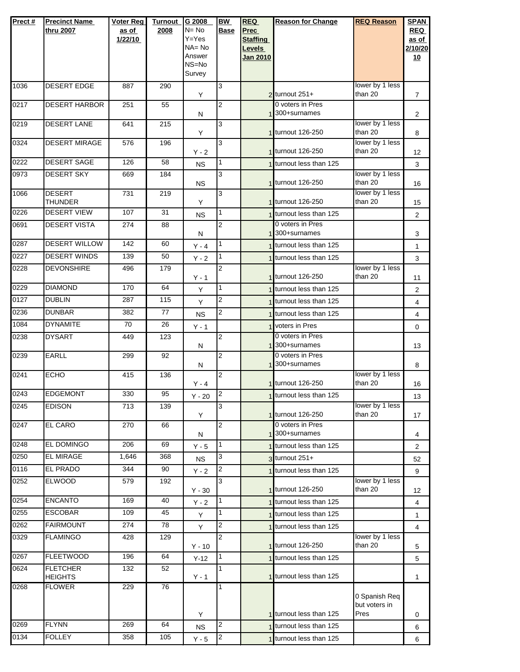| Prect# | <b>Precinct Name</b><br>thru 2007 | Voter Reg<br>as of<br>1/22/10 | <b>Turnout</b><br>2008 | G 2008<br>N= No<br>Y=Yes<br>NA=No<br>Answer<br>NS=No<br>Survey | <b>BW</b><br><b>Base</b> | <b>REQ</b><br><b>Prec</b><br><b>Staffing</b><br>Levels<br>Jan 2010 | <b>Reason for Change</b>                      | <b>REQ Reason</b>                      | <b>SPAN</b><br><b>REQ</b><br>as of<br>2/10/20<br><u>10</u> |
|--------|-----------------------------------|-------------------------------|------------------------|----------------------------------------------------------------|--------------------------|--------------------------------------------------------------------|-----------------------------------------------|----------------------------------------|------------------------------------------------------------|
| 1036   | <b>DESERT EDGE</b>                | 887                           | 290                    | Υ                                                              | 3                        |                                                                    | $2$ turnout 251+                              | lower by 1 less<br>than 20             | $\overline{7}$                                             |
| 0217   | <b>DESERT HARBOR</b>              | 251                           | 55                     | N                                                              | 2                        |                                                                    | 0 voters in Pres<br>1 300+surnames            |                                        | $\overline{2}$                                             |
| 0219   | <b>DESERT LANE</b>                | 641                           | 215                    | Y                                                              | 3                        |                                                                    | 1 turnout 126-250                             | lower by 1 less<br>than 20             | 8                                                          |
| 0324   | <b>DESERT MIRAGE</b>              | 576                           | 196                    | $Y - 2$                                                        | 3                        |                                                                    | 1 turnout 126-250                             | lower by 1 less<br>than 20             | 12                                                         |
| 0222   | <b>DESERT SAGE</b>                | 126                           | 58                     | <b>NS</b>                                                      | 1                        |                                                                    | 1 turnout less than 125                       |                                        | 3                                                          |
| 0973   | <b>DESERT SKY</b>                 | 669                           | 184                    | <b>NS</b>                                                      | 3                        |                                                                    | 1 turnout 126-250                             | lower by 1 less<br>than 20             | 16                                                         |
| 1066   | <b>DESERT</b><br><b>THUNDER</b>   | 731                           | 219                    | Υ                                                              | 3                        |                                                                    | 1 turnout 126-250                             | lower by 1 less<br>than 20             | 15                                                         |
| 0226   | <b>DESERT VIEW</b>                | 107                           | 31                     | <b>NS</b>                                                      | 1                        |                                                                    | 1 turnout less than 125                       |                                        | $\overline{2}$                                             |
| 0691   | <b>DESERT VISTA</b>               | 274                           | 88                     | N                                                              | $\overline{2}$           |                                                                    | 0 voters in Pres<br>1 <sup>300+surnames</sup> |                                        | 3                                                          |
| 0287   | <b>DESERT WILLOW</b>              | 142                           | 60                     | $Y - 4$                                                        | 1                        |                                                                    | 1 turnout less than 125                       |                                        | 1                                                          |
| 0227   | <b>DESERT WINDS</b>               | 139                           | 50                     | $Y - 2$                                                        | 1                        |                                                                    | turnout less than 125                         |                                        | 3                                                          |
| 0228   | <b>DEVONSHIRE</b>                 | 496                           | 179                    | $Y - 1$                                                        | 2                        |                                                                    | 1 turnout 126-250                             | lower by 1 less<br>than 20             | 11                                                         |
| 0229   | <b>DIAMOND</b>                    | 170                           | 64                     | Y                                                              | 1                        |                                                                    | 1 turnout less than 125                       |                                        | 2                                                          |
| 0127   | <b>DUBLIN</b>                     | 287                           | 115                    | Υ                                                              | $\overline{c}$           |                                                                    | 1 turnout less than 125                       |                                        | 4                                                          |
| 0236   | <b>DUNBAR</b>                     | 382                           | 77                     | <b>NS</b>                                                      | 2                        |                                                                    | turnout less than 125                         |                                        | 4                                                          |
| 1084   | <b>DYNAMITE</b>                   | 70                            | 26                     | $Y - 1$                                                        |                          |                                                                    | <b>Voters in Pres</b>                         |                                        | $\mathbf 0$                                                |
| 0238   | <b>DYSART</b>                     | 449                           | 123                    | N                                                              | $\overline{2}$           |                                                                    | 0 voters in Pres<br>1 <sup>300+surnames</sup> |                                        | 13                                                         |
| 0239   | <b>EARLL</b>                      | 299                           | 92                     | N                                                              | 2                        |                                                                    | 0 voters in Pres<br>1 300+surnames            |                                        | 8                                                          |
| 0241   | <b>ECHO</b>                       | 415                           | 136                    | $Y - 4$                                                        | 2                        |                                                                    | 1 turnout 126-250                             | lower by 1 less<br>than 20             | 16                                                         |
| 0243   | <b>EDGEMONT</b>                   | 330                           | 95                     | $Y - 20$                                                       | $\overline{2}$           |                                                                    | 1 turnout less than 125                       |                                        | 13                                                         |
| 0245   | <b>EDISON</b>                     | 713                           | 139                    | Y                                                              | 3                        |                                                                    | 1 turnout 126-250                             | lower by 1 less<br>than 20             | 17                                                         |
| 0247   | <b>EL CARO</b>                    | 270                           | 66                     | N                                                              | 2                        |                                                                    | 0 voters in Pres<br>1 300+surnames            |                                        | 4                                                          |
| 0248   | EL DOMINGO                        | 206                           | 69                     | $Y - 5$                                                        | 1                        |                                                                    | 1 turnout less than 125                       |                                        | 2                                                          |
| 0250   | <b>EL MIRAGE</b>                  | 1,646                         | 368                    | <b>NS</b>                                                      | 3                        |                                                                    | 3 turnout 251+                                |                                        | 52                                                         |
| 0116   | <b>EL PRADO</b>                   | 344                           | 90                     | $Y - 2$                                                        | $\overline{2}$           |                                                                    | 1 turnout less than 125                       |                                        | 9                                                          |
| 0252   | <b>ELWOOD</b>                     | 579                           | 192                    | $Y - 30$                                                       | 3                        |                                                                    | 1 turnout 126-250                             | lower by 1 less<br>than 20             | 12                                                         |
| 0254   | <b>ENCANTO</b>                    | 169                           | 40                     | $Y - 2$                                                        | 1                        |                                                                    | 1 turnout less than 125                       |                                        | 4                                                          |
| 0255   | <b>ESCOBAR</b>                    | 109                           | 45                     | Y                                                              | 1                        |                                                                    | turnout less than 125                         |                                        | 1                                                          |
| 0262   | <b>FAIRMOUNT</b>                  | 274                           | $\overline{78}$        | Υ                                                              | 2                        |                                                                    | 1 turnout less than 125                       |                                        | 4                                                          |
| 0329   | <b>FLAMINGO</b>                   | 428                           | 129                    | $Y - 10$                                                       | 2                        |                                                                    | 1 turnout 126-250                             | lower by 1 less<br>than 20             | 5                                                          |
| 0267   | <b>FLEETWOOD</b>                  | 196                           | 64                     | $Y-12$                                                         | 1                        |                                                                    | 1 turnout less than 125                       |                                        | 5                                                          |
| 0624   | <b>FLETCHER</b><br><b>HEIGHTS</b> | 132                           | 52                     | $Y - 1$                                                        | 1                        |                                                                    | 1 turnout less than 125                       |                                        | 1                                                          |
| 0268   | <b>FLOWER</b>                     | 229                           | 76                     |                                                                | 1                        |                                                                    | 1 turnout less than 125                       | 0 Spanish Req<br>but voters in<br>Pres |                                                            |
| 0269   | <b>FLYNN</b>                      | 269                           | 64                     | Υ                                                              | 2                        |                                                                    | 1 turnout less than 125                       |                                        | 0                                                          |
| 0134   | <b>FOLLEY</b>                     | 358                           | 105                    | <b>NS</b>                                                      | $\overline{2}$           |                                                                    | 1 turnout less than 125                       |                                        | 6                                                          |
|        |                                   |                               |                        | $Y - 5$                                                        |                          |                                                                    |                                               |                                        | 6                                                          |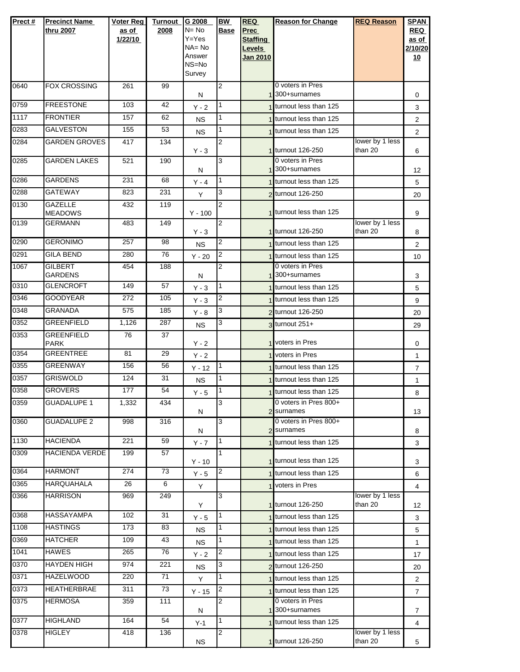| Prect# | <b>Precinct Name</b>             | Voter Reg | <b>Turnout</b> | G 2008                 | BW             | <b>REQ</b>         | <b>Reason for Change</b>  | <b>REQ Reason</b>          | <b>SPAN</b>         |
|--------|----------------------------------|-----------|----------------|------------------------|----------------|--------------------|---------------------------|----------------------------|---------------------|
|        | thru 2007                        | as of     | 2008           | $N = No$               | Base           | Prec               |                           |                            | <b>REQ</b>          |
|        |                                  | 1/22/10   |                | $Y = Yes$<br>$NA = No$ |                | <b>Staffing</b>    |                           |                            | as of               |
|        |                                  |           |                | Answer                 |                | Levels<br>Jan 2010 |                           |                            | 2/10/20<br>10       |
|        |                                  |           |                | NS=No                  |                |                    |                           |                            |                     |
|        |                                  |           |                | Survey                 |                |                    |                           |                            |                     |
| 0640   | <b>FOX CROSSING</b>              | 261       | 99             |                        | 2              |                    | 0 voters in Pres          |                            |                     |
|        |                                  |           |                | N                      |                |                    | 1 <sup>300+surnames</sup> |                            | 0                   |
| 0759   | <b>FREESTONE</b>                 | 103       | 42             | $Y - 2$                | 1              |                    | turnout less than 125     |                            | 3                   |
| 1117   | <b>FRONTIER</b>                  | 157       | 62             | <b>NS</b>              | 1              |                    | 1 turnout less than 125   |                            | $\overline{2}$      |
| 0283   | <b>GALVESTON</b>                 | 155       | 53             | <b>NS</b>              | 1              |                    | 1 turnout less than 125   |                            | $\overline{2}$      |
| 0284   | <b>GARDEN GROVES</b>             | 417       | 134            | $Y - 3$                | 2              |                    | 1 turnout 126-250         | lower by 1 less<br>than 20 | 6                   |
| 0285   | <b>GARDEN LAKES</b>              | 521       | 190            |                        | 3              |                    | 0 voters in Pres          |                            |                     |
|        |                                  |           |                | N                      |                |                    | 1 300+surnames            |                            | 12                  |
| 0286   | <b>GARDENS</b>                   | 231       | 68             | $Y - 4$                | 1              |                    | 1 turnout less than 125   |                            | 5                   |
| 0288   | GATEWAY                          | 823       | 231            | Y                      | 3              |                    | 2 turnout 126-250         |                            | 20                  |
| 0130   | <b>GAZELLE</b>                   | 432       | 119            |                        | 2              |                    | 1 turnout less than 125   |                            |                     |
| 0139   | <b>MEADOWS</b><br><b>GERMANN</b> | 483       | 149            | $Y - 100$              | $\overline{2}$ |                    |                           | lower by 1 less            | 9                   |
|        |                                  |           |                | $Y - 3$                |                |                    | 1 turnout 126-250         | than 20                    | 8                   |
| 0290   | <b>GERONIMO</b>                  | 257       | 98             | <b>NS</b>              | $\overline{2}$ |                    | 1 turnout less than 125   |                            | 2                   |
| 0291   | <b>GILA BEND</b>                 | 280       | 76             | $Y - 20$               | 2              |                    | 1 turnout less than 125   |                            | 10                  |
| 1067   | <b>GILBERT</b>                   | 454       | 188            |                        | 2              |                    | 0 voters in Pres          |                            |                     |
|        | <b>GARDENS</b>                   |           |                | N                      |                |                    | 1300+surnames             |                            | 3                   |
| 0310   | <b>GLENCROFT</b>                 | 149       | 57             | $Y - 3$                | 1              |                    | 1 turnout less than 125   |                            | 5                   |
| 0346   | <b>GOODYEAR</b>                  | 272       | 105            | $Y - 3$                | 2              |                    | 1 turnout less than 125   |                            | 9                   |
| 0348   | <b>GRANADA</b>                   | 575       | 185            | $Y - 8$                | 3              |                    | 2 turnout 126-250         |                            | 20                  |
| 0352   | <b>GREENFIELD</b>                | 1,126     | 287            | <b>NS</b>              | 3              |                    | $3$ turnout $251+$        |                            | 29                  |
| 0353   | <b>GREENFIELD</b>                | 76        | 37             |                        |                |                    | 1 voters in Pres          |                            |                     |
| 0354   | <b>PARK</b><br><b>GREENTREE</b>  | 81        | 29             | $Y - 2$<br>$Y - 2$     |                |                    | 1 voters in Pres          |                            | 0                   |
| 0355   | <b>GREENWAY</b>                  | 156       | 56             | $Y - 12$               | $\mathbf{1}$   |                    | 1 turnout less than 125   |                            | 1<br>$\overline{7}$ |
| 0357   | <b>GRISWOLD</b>                  | 124       | 31             |                        | 1              |                    | 1 turnout less than 125   |                            |                     |
| 0358   | <b>GROVERS</b>                   | 177       | 54             | NS.                    | 1              |                    | 1 turnout less than 125   |                            | 1                   |
| 0359   | <b>GUADALUPE 1</b>               | 1,332     | 434            | $Y - 5$                | 3              |                    | 0 voters in Pres 800+     |                            | 8                   |
|        |                                  |           |                | N                      |                |                    | 2 surnames                |                            | 13                  |
| 0360   | <b>GUADALUPE 2</b>               | 998       | 316            |                        | 3              |                    | 0 voters in Pres 800+     |                            |                     |
|        |                                  |           |                | N                      |                |                    | 2 surnames                |                            | 8                   |
| 1130   | <b>HACIENDA</b>                  | 221       | 59             | $Y - 7$                | $\mathbf{1}$   |                    | 1 turnout less than 125   |                            | 3                   |
| 0309   | <b>HACIENDA VERDE</b>            | 199       | 57             | $Y - 10$               | 1              |                    | 1 turnout less than 125   |                            | 3                   |
| 0364   | <b>HARMONT</b>                   | 274       | 73             | $Y - 5$                | 2              |                    | 1 turnout less than 125   |                            | 6                   |
| 0365   | <b>HARQUAHALA</b>                | 26        | 6              | Y                      |                |                    | 1 voters in Pres          |                            | 4                   |
| 0366   | <b>HARRISON</b>                  | 969       | 249            |                        | 3              |                    |                           | lower by 1 less            |                     |
|        |                                  |           |                | Y                      |                |                    | 1 turnout 126-250         | than 20                    | 12                  |
| 0368   | HASSAYAMPA                       | 102       | 31             | $Y - 5$                | 1              |                    | 1 turnout less than 125   |                            | 3                   |
| 1108   | <b>HASTINGS</b>                  | 173       | 83             | <b>NS</b>              | 1              |                    | turnout less than 125     |                            | 5                   |
| 0369   | <b>HATCHER</b>                   | 109       | 43             | <b>NS</b>              | 1              |                    | 1 turnout less than 125   |                            | $\mathbf{1}$        |
| 1041   | <b>HAWES</b>                     | 265       | 76             | $Y - 2$                | 2              |                    | 1 turnout less than 125   |                            | 17                  |
| 0370   | <b>HAYDEN HIGH</b>               | 974       | 221            | <b>NS</b>              | 3              |                    | 2 turnout 126-250         |                            | 20                  |
| 0371   | <b>HAZELWOOD</b>                 | 220       | 71             | Y                      | 1              |                    | 1 turnout less than 125   |                            | 2                   |
| 0373   | HEATHERBRAE                      | 311       | 73             | $Y - 15$               | 2              |                    | 1 turnout less than 125   |                            | $\overline{7}$      |
| 0375   | <b>HERMOSA</b>                   | 359       | 111            |                        | 2              |                    | 0 voters in Pres          |                            |                     |
| 0377   | <b>HIGHLAND</b>                  | 164       | 54             | N                      | 1              |                    | 1 <sup>300+surnames</sup> |                            | $\overline{7}$      |
| 0378   | <b>HIGLEY</b>                    | 418       | 136            | $Y-1$                  | 2              |                    | 1 turnout less than 125   | lower by 1 less            | 4                   |
|        |                                  |           |                | <b>NS</b>              |                |                    | 1 turnout 126-250         | than 20                    | 5                   |
|        |                                  |           |                |                        |                |                    |                           |                            |                     |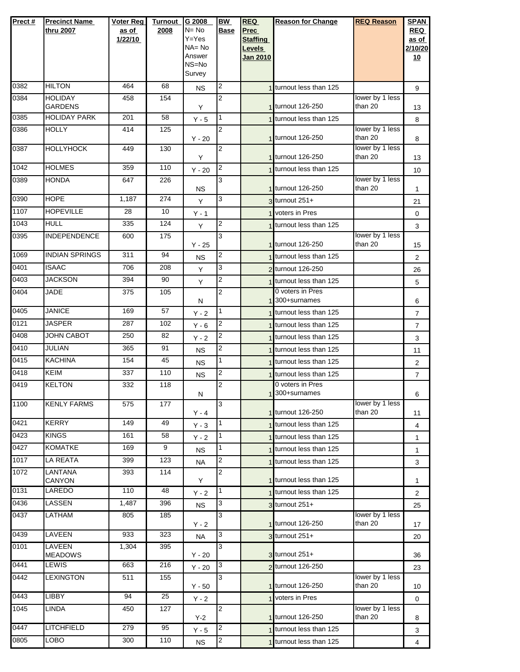| Prect#           | <b>Precinct Name</b><br>thru 2007 | <b>Voter Reg</b><br>as of | <b>Turnout</b><br>2008 | G 2008<br>$N = No$ | <b>BW</b><br><b>Base</b>         | <b>REQ</b><br>Prec | <b>Reason for Change</b>                      | <b>REQ Reason</b>          | <b>SPAN</b><br><b>REQ</b> |
|------------------|-----------------------------------|---------------------------|------------------------|--------------------|----------------------------------|--------------------|-----------------------------------------------|----------------------------|---------------------------|
|                  |                                   | 1/22/10                   |                        | Y=Yes              |                                  | <b>Staffing</b>    |                                               |                            | as of                     |
|                  |                                   |                           |                        | NA= No<br>Answer   |                                  | <b>Levels</b>      |                                               |                            | 2/10/20                   |
|                  |                                   |                           |                        | NS=No              |                                  | <b>Jan 2010</b>    |                                               |                            | <u>10</u>                 |
|                  |                                   |                           |                        | Survey             |                                  |                    |                                               |                            |                           |
| 0382             | <b>HILTON</b>                     | 464                       | 68                     | <b>NS</b>          | 2                                |                    | 1 turnout less than 125                       |                            | 9                         |
| 0384             | <b>HOLIDAY</b><br><b>GARDENS</b>  | 458                       | 154                    | Y                  | $\overline{2}$                   |                    | 1 turnout 126-250                             | lower by 1 less<br>than 20 | 13                        |
| 0385             | <b>HOLIDAY PARK</b>               | 201                       | 58                     | $Y - 5$            | 1                                |                    | 1 turnout less than 125                       |                            | 8                         |
| 0386             | <b>HOLLY</b>                      | 414                       | 125                    | $Y - 20$           | $\overline{2}$                   |                    | 1 turnout 126-250                             | lower by 1 less<br>than 20 | 8                         |
| 0387             | <b>HOLLYHOCK</b>                  | 449                       | 130                    | Y                  | $\overline{2}$                   |                    | 1 turnout 126-250                             | lower by 1 less<br>than 20 | 13                        |
| 1042             | <b>HOLMES</b>                     | 359                       | 110                    | $Y - 20$           | $\overline{c}$                   |                    | 1 turnout less than 125                       |                            | 10                        |
| 0389             | <b>HONDA</b>                      | 647                       | 226                    |                    | 3                                |                    |                                               | lower by 1 less            |                           |
| 0390             | <b>HOPE</b>                       | 1,187                     | 274                    | <b>NS</b><br>Y     | 3                                |                    | 1 turnout 126-250<br>$3$ turnout $251+$       | than 20                    | 1                         |
| 1107             | <b>HOPEVILLE</b>                  | 28                        | 10                     | $Y - 1$            |                                  |                    | 1 voters in Pres                              |                            | 21<br>0                   |
| 1043             | <b>HULL</b>                       | 335                       | 124                    | Y                  | $\overline{c}$                   |                    | 1 turnout less than 125                       |                            | 3                         |
| 0395             | <b>INDEPENDENCE</b>               | 600                       | 175                    |                    | 3                                |                    |                                               | lower by 1 less            |                           |
|                  |                                   |                           |                        | $Y - 25$           |                                  |                    | 1 turnout 126-250                             | than 20                    | 15                        |
| 1069<br>0401     | <b>INDIAN SPRINGS</b>             | 311                       | 94                     | <b>NS</b>          | 2                                |                    | 1 turnout less than 125                       |                            | $\overline{2}$            |
| 0403             | <b>ISAAC</b><br><b>JACKSON</b>    | 706<br>394                | 208<br>90              | Y                  | 3                                |                    | 2 turnout 126-250                             |                            | 26                        |
| 0404             | <b>JADE</b>                       | 375                       | 105                    | Y                  | $\overline{c}$<br>$\overline{2}$ |                    | 1 turnout less than 125<br>0 voters in Pres   |                            | 5                         |
|                  |                                   |                           |                        | N                  |                                  |                    | 1 300+surnames                                |                            | 6                         |
| 0405             | <b>JANICE</b>                     | 169                       | 57                     | $Y - 2$            | 1                                |                    | 1 turnout less than 125                       |                            | $\overline{7}$            |
| 0121             | <b>JASPER</b>                     | 287                       | 102                    | $Y - 6$            | 2                                |                    | 1 turnout less than 125                       |                            | $\overline{7}$            |
| 0408             | <b>JOHN CABOT</b>                 | 250                       | 82                     | $Y - 2$            | $\overline{c}$                   |                    | 1 turnout less than 125                       |                            | 3                         |
| 0410             | <b>JULIAN</b>                     | 365                       | 91                     | NS.                | 2                                |                    | 1 turnout less than 125                       |                            | 11                        |
| 0415             | <b>KACHINA</b>                    | 154                       | 45                     | <b>NS</b>          | 1                                |                    | turnout less than 125                         |                            | 2                         |
| 0418             | KEIM                              | 337                       | 110                    | <b>NS</b>          | 2                                |                    | 1 turnout less than 125                       |                            | $\overline{7}$            |
| 0419             | <b>KELTON</b>                     | 332                       | 118                    | Ν                  | 2                                |                    | 0 voters in Pres<br>1 <sup>300+surnames</sup> |                            | 6                         |
| 1100             | <b>KENLY FARMS</b>                | 575                       | 177                    | $Y - 4$            | 3                                |                    | 1 turnout 126-250                             | lower by 1 less<br>than 20 | 11                        |
| 0421             | <b>KERRY</b>                      | 149                       | 49                     | $Y - 3$            | 1                                |                    | 1 turnout less than 125                       |                            | 4                         |
| 0423             | <b>KINGS</b>                      | 161                       | 58                     | $Y - 2$            | 1                                |                    | 1 turnout less than 125                       |                            | 1                         |
| 0427             | <b>KOMATKE</b>                    | 169                       | 9                      | <b>NS</b>          | 1                                |                    | 1 turnout less than 125                       |                            | 1                         |
| 1017             | LA REATA                          | 399                       | 123                    | NA                 | 2                                |                    | 1 turnout less than 125                       |                            | 3                         |
| $\frac{1}{1072}$ | LANTANA<br>CANYON                 | 393                       | 114                    | Y                  | 2                                |                    | 1 turnout less than 125                       |                            | 1                         |
| 0131             | LAREDO                            | 110                       | 48                     | $Y - 2$            | 1                                |                    | 1 turnout less than 125                       |                            | 2                         |
| 0436             | LASSEN                            | 1,487                     | 396                    | <b>NS</b>          | 3                                |                    | $3$ turnout $251+$                            |                            | 25                        |
| 0437             | <b>LATHAM</b>                     | 805                       | 185                    | Y - 2              | 3                                |                    | 1 turnout 126-250                             | lower by 1 less<br>than 20 | 17                        |
| 0439             | LAVEEN                            | 933                       | 323                    | <b>NA</b>          | 3                                |                    | 3 turnout 251+                                |                            | 20                        |
| 0101             | <b>LAVEEN</b><br><b>MEADOWS</b>   | 1,304                     | 395                    | $Y - 20$           | 3                                |                    | $3$ turnout $251+$                            |                            | 36                        |
| 0441             | LEWIS                             | 663                       | 216                    | $Y - 20$           | 3                                |                    | 2 turnout 126-250                             |                            | 23                        |
| 0442             | <b>LEXINGTON</b>                  | 511                       | 155                    | $Y - 50$           | 3                                |                    | 1 turnout 126-250                             | lower by 1 less<br>than 20 | 10                        |
| 0443             | <b>LIBBY</b>                      | $\overline{94}$           | 25                     | $Y - 2$            |                                  |                    | voters in Pres                                |                            | 0                         |
| 1045             | LINDA                             | 450                       | 127                    | $Y-2$              | 2                                |                    | 1 turnout 126-250                             | lower by 1 less<br>than 20 | 8                         |
| 0447             | LITCHFIELD                        | 279                       | 95                     | $Y - 5$            | 2                                |                    | 1 turnout less than 125                       |                            | 3                         |
| 0805             | LOBO                              | 300                       | 110                    | <b>NS</b>          | $\overline{2}$                   |                    | turnout less than 125                         |                            | $\overline{\mathbf{4}}$   |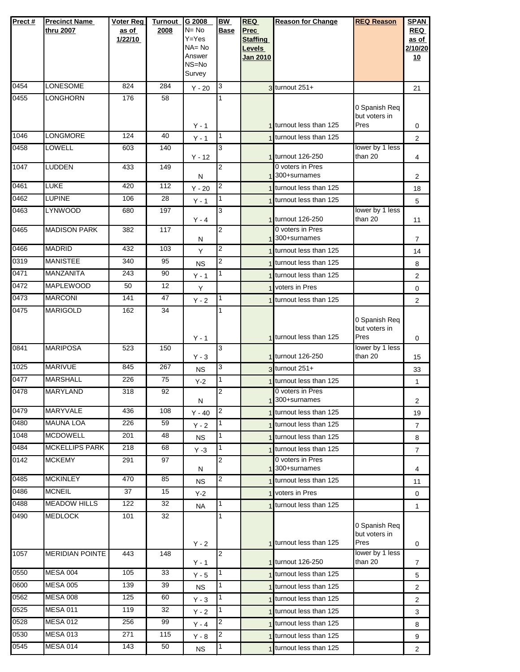| Prect# | <b>Precinct Name</b>   | Voter Reg | <b>Turnout</b> | G 2008              | <b>BW</b>               | <b>REQ</b>      | <b>Reason for Change</b>                      | <b>REQ Reason</b>              | <b>SPAN</b>    |
|--------|------------------------|-----------|----------------|---------------------|-------------------------|-----------------|-----------------------------------------------|--------------------------------|----------------|
|        | thru 2007              | as of     | 2008           | $N = No$            | <b>Base</b>             | <b>Prec</b>     |                                               |                                | <b>REQ</b>     |
|        |                        | 1/22/10   |                | $Y = Yes$           |                         | <b>Staffing</b> |                                               |                                | as of          |
|        |                        |           |                | $NA = No$<br>Answer |                         | Levels          |                                               |                                | 2/10/20        |
|        |                        |           |                | NS=No               |                         | <b>Jan 2010</b> |                                               |                                | 10             |
|        |                        |           |                | Survey              |                         |                 |                                               |                                |                |
| 0454   | <b>LONESOME</b>        | 824       | 284            | $Y - 20$            | 3                       |                 | 3 turnout 251+                                |                                | 21             |
| 0455   | <b>LONGHORN</b>        | 176       | 58             |                     | $\mathbf{1}$            |                 |                                               |                                |                |
|        |                        |           |                |                     |                         |                 |                                               | 0 Spanish Req                  |                |
|        |                        |           |                | $Y - 1$             |                         |                 | 1 turnout less than 125                       | but voters in<br>Pres          | 0              |
| 1046   | LONGMORE               | 124       | 40             | $Y - 1$             | $\mathbf{1}$            |                 | 1 turnout less than 125                       |                                | $\overline{c}$ |
| 0458   | LOWELL                 | 603       | 140            |                     | 3                       |                 |                                               | lower by 1 less                |                |
|        |                        |           |                | $Y - 12$            |                         |                 | 1 turnout 126-250                             | than 20                        | 4              |
| 1047   | <b>LUDDEN</b>          | 433       | 149            | N                   | $\overline{c}$          |                 | 0 voters in Pres<br>1 <sup>300+surnames</sup> |                                | 2              |
| 0461   | <b>LUKE</b>            | 420       | 112            | $Y - 20$            | $\overline{\mathbf{c}}$ |                 | 1 turnout less than 125                       |                                | 18             |
| 0462   | <b>LUPINE</b>          | 106       | 28             | $Y - 1$             | $\overline{1}$          |                 | 1 turnout less than 125                       |                                | 5              |
| 0463   | <b>LYNWOOD</b>         | 680       | 197            |                     | 3                       |                 |                                               | lower by 1 less                |                |
|        |                        |           |                | $Y - 4$             |                         |                 | 1 turnout 126-250                             | than 20                        | 11             |
| 0465   | <b>MADISON PARK</b>    | 382       | 117            | N                   | $\overline{2}$          |                 | 0 voters in Pres<br>1 <sup>300+surnames</sup> |                                | $\overline{7}$ |
| 0466   | <b>MADRID</b>          | 432       | 103            | Y                   | $\overline{c}$          |                 | 1 turnout less than 125                       |                                |                |
| 0319   | <b>MANISTEE</b>        | 340       | 95             |                     | $\overline{c}$          |                 | 1 turnout less than 125                       |                                | 14             |
| 0471   | MANZANITA              | 243       | 90             | <b>NS</b>           | $\mathbf{1}$            |                 | 1 turnout less than 125                       |                                | 8              |
| 0472   | <b>MAPLEWOOD</b>       | 50        | 12             | $Y - 1$             |                         |                 | 1 voters in Pres                              |                                | $\overline{2}$ |
| 0473   | <b>MARCONI</b>         | 141       | 47             | Υ                   | $\mathbf 1$             |                 |                                               |                                | 0              |
| 0475   | <b>MARIGOLD</b>        | 162       | 34             | $Y - 2$             | $\mathbf{1}$            |                 | 1 turnout less than 125                       |                                | $\overline{2}$ |
|        |                        |           |                |                     |                         |                 |                                               | 0 Spanish Req                  |                |
|        |                        |           |                |                     |                         |                 |                                               | but voters in                  |                |
|        |                        |           |                | $Y - 1$             |                         |                 | 1 turnout less than 125                       | Pres                           | 0              |
| 0841   | <b>MARIPOSA</b>        | 523       | 150            |                     | 3                       |                 |                                               | lower by 1 less                |                |
| 1025   | <b>MARIVUE</b>         | 845       | 267            | $Y - 3$             | 3                       |                 | 1 turnout 126-250                             | than 20                        | 15             |
| 0477   | <b>MARSHALL</b>        | 226       | 75             | <b>NS</b>           | $\mathbf{1}$            |                 | $3$ turnout 251+                              |                                | 33             |
|        | <b>MARYLAND</b>        |           |                | $Y-2$               |                         |                 | 1 turnout less than 125<br>0 voters in Pres   |                                | $\mathbf{1}$   |
| 0478   |                        | 318       | 92             | N                   | $\overline{2}$          |                 | 1 <sup>300+surnames</sup>                     |                                | 2              |
| 0479   | <b>MARYVALE</b>        | 436       | 108            | $Y - 40$            | $\overline{c}$          |                 | 1 turnout less than 125                       |                                | 19             |
| 0480   | <b>MAUNA LOA</b>       | 226       | 59             | $Y - 2$             | $\mathbf{1}$            |                 | 1 turnout less than 125                       |                                | 7              |
| 1048   | <b>MCDOWELL</b>        | 201       | 48             | <b>NS</b>           | $\mathbf{1}$            |                 | 1 turnout less than 125                       |                                | 8              |
| 0484   | <b>MCKELLIPS PARK</b>  | 218       | 68             | $Y - 3$             | $\mathbf{1}$            |                 | 1 turnout less than 125                       |                                | $\overline{7}$ |
| 0142   | <b>MCKEMY</b>          | 291       | 97             |                     | 2                       |                 | 0 voters in Pres                              |                                |                |
|        |                        |           |                | N                   |                         |                 | 1 300+surnames                                |                                | 4              |
| 0485   | <b>MCKINLEY</b>        | 470       | 85             | <b>NS</b>           | 2                       |                 | 1 turnout less than 125                       |                                | 11             |
| 0486   | <b>MCNEIL</b>          | 37        | 15             | $Y-2$               |                         |                 | voters in Pres                                |                                | 0              |
| 0488   | <b>MEADOW HILLS</b>    | 122       | 32             | <b>NA</b>           | $\mathbf{1}$            |                 | 1 turnout less than 125                       |                                | $\mathbf{1}$   |
| 0490   | <b>MEDLOCK</b>         | 101       | 32             |                     | $\mathbf{1}$            |                 |                                               |                                |                |
|        |                        |           |                |                     |                         |                 |                                               | 0 Spanish Req<br>but voters in |                |
|        |                        |           |                | $Y - 2$             |                         |                 | 1 turnout less than 125                       | Pres                           | 0              |
| 1057   | <b>MERIDIAN POINTE</b> | 443       | 148            |                     | $\overline{2}$          |                 |                                               | lower by 1 less                |                |
|        |                        |           |                | $Y - 1$             |                         |                 | 1 turnout 126-250                             | than 20                        | 7              |
| 0550   | <b>MESA 004</b>        | 105       | 33             | $Y - 5$             | $\overline{1}$          |                 | 1 turnout less than 125                       |                                | 5              |
| 0600   | <b>MESA 005</b>        | 139       | 39             | <b>NS</b>           | $\mathbf{1}$            |                 | 1 turnout less than 125                       |                                | $\overline{2}$ |
| 0562   | <b>MESA 008</b>        | 125       | 60             | $Y - 3$             | 1                       |                 | 1 turnout less than 125                       |                                | 2              |
| 0525   | <b>MESA 011</b>        | 119       | 32             | $Y - 2$             | $\overline{1}$          |                 | 1 turnout less than 125                       |                                | 3              |
| 0528   | <b>MESA 012</b>        | 256       | 99             | Y - 4               | $\overline{c}$          |                 | 1 turnout less than 125                       |                                | 8              |
| 0530   | <b>MESA 013</b>        | 271       | 115            | $Y - 8$             | $\overline{\mathbf{c}}$ |                 | 1 turnout less than 125                       |                                | 9              |
| 0545   | <b>MESA 014</b>        | 143       | 50             | <b>NS</b>           | $\overline{1}$          |                 | 1 turnout less than 125                       |                                | $\overline{2}$ |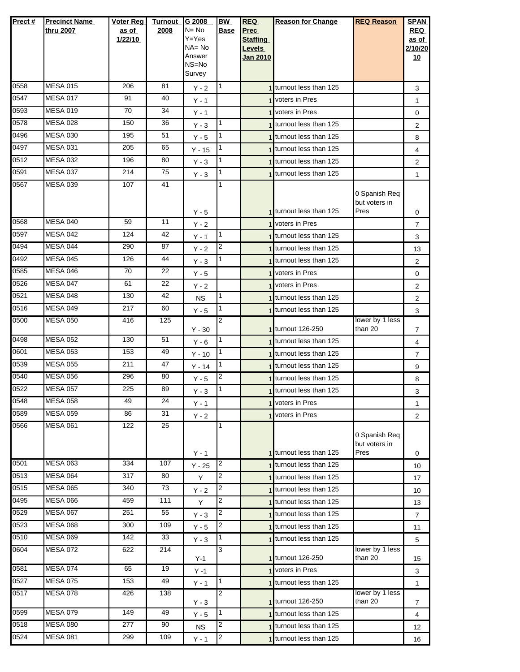| Prect # | <b>Precinct Name</b> | Voter Reg | <b>Turnout</b>   | G 2008                 | <b>BW</b> | <b>REQ</b>                | <b>Reason for Change</b>              | <b>REQ Reason</b>              | <b>SPAN</b>      |
|---------|----------------------|-----------|------------------|------------------------|-----------|---------------------------|---------------------------------------|--------------------------------|------------------|
|         | thru 2007            | as of     | 2008             | $N = No$               | Base      | <b>Prec</b>               |                                       |                                | <b>REQ</b>       |
|         |                      | 1/22/10   |                  | $Y = Yes$<br>$NA = No$ |           | <b>Staffing</b><br>Levels |                                       |                                | as of<br>2/10/20 |
|         |                      |           |                  | Answer                 |           | Jan 2010                  |                                       |                                | 10               |
|         |                      |           |                  | NS=No                  |           |                           |                                       |                                |                  |
|         |                      |           |                  | Survey                 |           |                           |                                       |                                |                  |
| 0558    | <b>MESA 015</b>      | 206       | 81               | $Y - 2$                | 1         |                           | 1 turnout less than 125               |                                | 3                |
| 0547    | <b>MESA 017</b>      | 91        | 40               | $Y - 1$                |           |                           | 1 voters in Pres                      |                                | 1                |
| 0593    | <b>MESA 019</b>      | 70        | 34               | $Y - 1$                |           |                           | 1 voters in Pres                      |                                | 0                |
| 0578    | <b>MESA 028</b>      | 150       | 36               | $Y - 3$                | 1         |                           | 1 turnout less than 125               |                                | 2                |
| 0496    | <b>MESA 030</b>      | 195       | 51               | $Y - 5$                | 1         |                           | 1 turnout less than 125               |                                | 8                |
| 0497    | <b>MESA 031</b>      | 205       | 65               | $Y - 15$               | 1         |                           | 1 turnout less than 125               |                                | 4                |
| 0512    | <b>MESA 032</b>      | 196       | 80               | $Y - 3$                | 1         |                           | 1 turnout less than 125               |                                | $\overline{2}$   |
| 0591    | <b>MESA 037</b>      | 214       | 75               | $Y - 3$                | 1         |                           | 1 turnout less than 125               |                                | $\mathbf{1}$     |
| 0567    | <b>MESA 039</b>      | 107       | 41               |                        | 1         |                           |                                       | 0 Spanish Req                  |                  |
|         |                      |           |                  |                        |           |                           |                                       | but voters in                  |                  |
|         |                      |           |                  | Y - 5                  |           |                           | 1 turnout less than 125               | Pres                           | 0                |
| 0568    | <b>MESA 040</b>      | 59        | 11               | $Y - 2$                |           |                           | 1 voters in Pres                      |                                | 7                |
| 0597    | <b>MESA 042</b>      | 124       | 42               | $Y - 1$                | 1         |                           | 1 turnout less than 125               |                                | 3                |
| 0494    | MESA 044             | 290       | 87               | $Y - 2$                | 2         |                           | 1 turnout less than 125               |                                | 13               |
| 0492    | <b>MESA 045</b>      | 126       | 44               | $Y - 3$                | 1         |                           | 1 turnout less than 125               |                                | $\overline{2}$   |
| 0585    | MESA 046             | 70        | 22               | Y - 5                  |           |                           | 1 voters in Pres                      |                                | 0                |
| 0526    | <b>MESA 047</b>      | 61        | 22               | $Y - 2$                |           |                           | 1 voters in Pres                      |                                | 2                |
| 0521    | <b>MESA 048</b>      | 130       | 42               | <b>NS</b>              | 1         |                           | 1 turnout less than 125               |                                | 2                |
| 0516    | <b>MESA 049</b>      | 217       | 60               | $Y - 5$                | 1         |                           | 1 turnout less than 125               |                                | 3                |
| 0500    | <b>MESA 050</b>      | 416       | 125              | $Y - 30$               | 2         |                           | 1 turnout 126-250                     | lower by 1 less<br>than 20     | 7                |
| 0498    | <b>MESA 052</b>      | 130       | 51               | $Y - 6$                | 1         |                           | 1 turnout less than 125               |                                | 4                |
| 0601    | <b>MESA 053</b>      | 153       | 49               | $Y - 10$               | 1         |                           | 1 turnout less than 125               |                                | 7                |
| 0539    | <b>MESA 055</b>      | 211       | 47               | $Y - 14$               | 1         |                           | 1 turnout less than 125               |                                | 9                |
| 0540    | <b>MESA 056</b>      | 296       | 80               | $Y - 5$                | 2         |                           | 1 turnout less than 125               |                                | 8                |
| 0522    | <b>MESA 057</b>      | 225       | 89               | $Y - 3$                | 1         |                           | 1 turnout less than 125               |                                | 3                |
| 0548    | <b>MESA 058</b>      | 49        | 24               | $Y - 1$                |           |                           | 1 voters in Pres                      |                                | 1                |
| 0589    | <b>MESA 059</b>      | 86        | 31               | $Y - 2$                |           |                           | 1 voters in Pres                      |                                | $\overline{2}$   |
| 0566    | <b>MESA 061</b>      | 122       | 25               |                        | 1         |                           |                                       |                                |                  |
|         |                      |           |                  |                        |           |                           |                                       | 0 Spanish Req<br>but voters in |                  |
|         |                      |           |                  | $Y - 1$                |           |                           | 1 turnout less than 125               | Pres                           | 0                |
| 0501    | <b>MESA 063</b>      | 334       | 107              | $Y - 25$               | 2         |                           | 1 turnout less than 125               |                                | 10               |
| 0513    | <b>MESA 064</b>      | 317       | 80               | Y                      | 2         |                           | 1 turnout less than 125               |                                | 17               |
| 0515    | <b>MESA 065</b>      | 340       | 73               | $Y - 2$                | 2         |                           | 1 turnout less than 125               |                                | 10               |
| 0495    | <b>MESA 066</b>      | 459       | $\overline{1}11$ | Υ                      | 2         |                           | turnout less than 125                 |                                | 13               |
| 0529    | <b>MESA 067</b>      | 251       | 55               | $Y - 3$                | 2         |                           | 1 turnout less than 125               |                                | $\overline{7}$   |
| 0523    | <b>MESA 068</b>      | 300       | 109              | $Y - 5$                | 2         |                           | 1 turnout less than 125               |                                | 11               |
| 0510    | <b>MESA 069</b>      | 142       | 33               | $Y - 3$                | 1         |                           | 1 turnout less than 125               |                                | 5                |
| 0604    | <b>MESA 072</b>      | 622       | 214              |                        | 3         |                           |                                       | lower by 1 less                |                  |
| 0581    | <b>MESA 074</b>      | 65        | 19               | $Y-1$<br>$Y - 1$       |           |                           | 1 turnout 126-250<br>1 voters in Pres | than 20                        | 15<br>3          |
| 0527    | <b>MESA 075</b>      | 153       | 49               | $Y - 1$                | 1         |                           | 1 turnout less than 125               |                                | $\mathbf{1}$     |
| 0517    | <b>MESA 078</b>      | 426       | 138              |                        | 2         |                           |                                       | lower by 1 less                |                  |
|         |                      |           |                  | $Y - 3$                |           |                           | 1 turnout 126-250                     | than 20                        | 7                |
| 0599    | <b>MESA 079</b>      | 149       | 49               | $Y - 5$                | 1         |                           | turnout less than 125                 |                                | 4                |
| 0518    | <b>MESA 080</b>      | 277       | 90               | <b>NS</b>              | 2         |                           | 1 turnout less than 125               |                                | 12               |
| 0524    | <b>MESA 081</b>      | 299       | 109              | $Y - 1$                | 2         |                           | 1 turnout less than 125               |                                | 16               |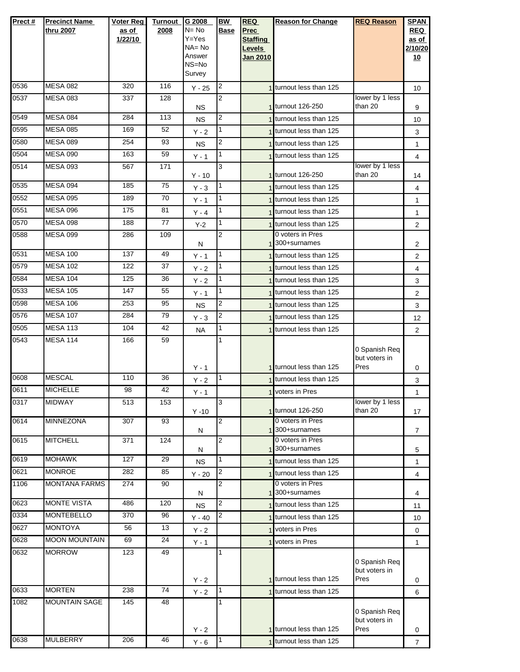| Prect# | <b>Precinct Name</b><br>thru 2007 | Voter Reg<br>as of<br>1/22/10 | <b>Turnout</b><br>2008 | G 2008<br>N= No<br>Y=Yes<br>NA= No<br>Answer<br>NS=No<br>Survey | <b>BW</b><br><b>Base</b> | <b>REQ</b><br>Prec<br><b>Staffing</b><br>Levels<br><b>Jan 2010</b> | <b>Reason for Change</b>                       | <b>REQ Reason</b>                      | <b>SPAN</b><br><b>REQ</b><br>as of<br>2/10/20<br><u>10</u> |
|--------|-----------------------------------|-------------------------------|------------------------|-----------------------------------------------------------------|--------------------------|--------------------------------------------------------------------|------------------------------------------------|----------------------------------------|------------------------------------------------------------|
| 0536   | <b>MESA 082</b>                   | 320                           | 116                    | $Y - 25$                                                        | $\overline{2}$           |                                                                    | 1 turnout less than 125                        |                                        | 10                                                         |
| 0537   | <b>MESA 083</b>                   | 337                           | 128                    | <b>NS</b>                                                       | $\overline{2}$           |                                                                    | 1 turnout 126-250                              | lower by 1 less<br>than 20             | 9                                                          |
| 0549   | <b>MESA 084</b>                   | 284                           | 113                    | <b>NS</b>                                                       | $\overline{2}$           |                                                                    | 1 turnout less than 125                        |                                        | 10                                                         |
| 0595   | <b>MESA 085</b>                   | 169                           | 52                     | $Y - 2$                                                         |                          |                                                                    | 1 turnout less than 125                        |                                        | 3                                                          |
| 0580   | <b>MESA 089</b>                   | 254                           | 93                     | <b>NS</b>                                                       | 2                        |                                                                    | 1 turnout less than 125                        |                                        | $\mathbf{1}$                                               |
| 0504   | <b>MESA 090</b>                   | 163                           | 59                     | Y - 1                                                           | 1                        |                                                                    | 1 turnout less than 125                        |                                        | 4                                                          |
| 0514   | <b>MESA 093</b>                   | 567                           | 171                    | $Y - 10$                                                        | 3                        |                                                                    | 1 turnout 126-250                              | lower by 1 less<br>than 20             | 14                                                         |
| 0535   | <b>MESA 094</b>                   | 185                           | 75                     | $Y - 3$                                                         |                          |                                                                    | 1 turnout less than 125                        |                                        | 4                                                          |
| 0552   | <b>MESA 095</b>                   | 189                           | 70                     | $Y - 1$                                                         | $\mathbf{1}$             |                                                                    | 1 turnout less than 125                        |                                        | $\mathbf{1}$                                               |
| 0551   | <b>MESA 096</b>                   | 175                           | 81                     | $Y - 4$                                                         | $\mathbf{1}$             |                                                                    | 1 turnout less than 125                        |                                        | $\mathbf{1}$                                               |
| 0570   | <b>MESA 098</b>                   | 188                           | 77                     | $Y-2$                                                           | 1                        |                                                                    | turnout less than 125                          |                                        | $\overline{2}$                                             |
| 0588   | <b>MESA 099</b>                   | 286                           | 109                    | N                                                               | $\overline{2}$           |                                                                    | 0 voters in Pres<br>1 300+surnames             |                                        | 2                                                          |
| 0531   | <b>MESA 100</b>                   | 137                           | 49                     | $Y - 1$                                                         | $\mathbf{1}$             |                                                                    | 1 turnout less than 125                        |                                        | $\overline{2}$                                             |
| 0579   | <b>MESA 102</b>                   | 122                           | 37                     | $Y - 2$                                                         | 1                        |                                                                    | 1 turnout less than 125                        |                                        | 4                                                          |
| 0584   | <b>MESA 104</b>                   | 125                           | 36                     | $Y - 2$                                                         | 1                        |                                                                    | turnout less than 125                          |                                        | 3                                                          |
| 0533   | <b>MESA 105</b>                   | 147                           | 55                     | $Y - 1$                                                         | $\mathbf{1}$             |                                                                    | 1 turnout less than 125                        |                                        | 2                                                          |
| 0598   | <b>MESA 106</b>                   | 253                           | 95                     | <b>NS</b>                                                       | 2                        |                                                                    | 1 turnout less than 125                        |                                        | 3                                                          |
| 0576   | <b>MESA 107</b>                   | 284                           | 79                     | $Y - 3$                                                         | 2                        |                                                                    | 1 turnout less than 125                        |                                        | 12                                                         |
| 0505   | <b>MESA 113</b>                   | 104                           | 42                     | <b>NA</b>                                                       | $\mathbf{1}$             |                                                                    | 1 turnout less than 125                        |                                        | 2                                                          |
| 0543   | <b>MESA 114</b>                   | 166                           | 59                     | $Y - 1$                                                         | 1                        |                                                                    | 1 turnout less than 125                        | 0 Spanish Req<br>but voters in<br>Pres |                                                            |
| 0608   | <b>MESCAL</b>                     | 110                           | 36                     | $Y - 2$                                                         | $\overline{1}$           |                                                                    | 1 turnout less than 125                        |                                        | 0<br>3                                                     |
| 0611   | <b>MICHELLE</b>                   | 98                            | 42                     | $Y - 1$                                                         |                          |                                                                    | 1 voters in Pres                               |                                        | 1                                                          |
| 0317   | <b>MIDWAY</b>                     | 513                           | 153                    | $Y - 10$                                                        | 3                        |                                                                    | 1 turnout 126-250                              | lower by 1 less<br>than 20             | 17                                                         |
| 0614   | MINNEZONA                         | 307                           | 93                     | N                                                               | 2                        |                                                                    | 0 voters in Pres<br>1 <sup>300+</sup> surnames |                                        | $\overline{7}$                                             |
| 0615   | <b>MITCHELL</b>                   | 371                           | 124                    | N                                                               | $\overline{2}$           |                                                                    | 0 voters in Pres<br>1 <sup>300+</sup> surnames |                                        | 5                                                          |
| 0619   | <b>MOHAWK</b>                     | 127                           | 29                     | <b>NS</b>                                                       | 1                        |                                                                    | 1 turnout less than 125                        |                                        | $\mathbf{1}$                                               |
| 0621   | <b>MONROE</b>                     | 282                           | 85                     | $Y - 20$                                                        | $\overline{2}$           |                                                                    | turnout less than 125                          |                                        | 4                                                          |
| 1106   | <b>MONTANA FARMS</b>              | 274                           | 90                     | N                                                               | $\overline{2}$           |                                                                    | 0 voters in Pres<br>1 300+surnames             |                                        | 4                                                          |
| 0623   | <b>MONTE VISTA</b>                | 486                           | 120                    | <b>NS</b>                                                       | 2                        |                                                                    | 1 turnout less than 125                        |                                        | 11                                                         |
| 0334   | <b>MONTEBELLO</b>                 | 370                           | 96                     | $Y - 40$                                                        | 2                        |                                                                    | 1 turnout less than 125                        |                                        | 10                                                         |
| 0627   | <b>MONTOYA</b>                    | 56                            | 13                     | $Y - 2$                                                         |                          |                                                                    | voters in Pres                                 |                                        | $\mathbf 0$                                                |
| 0628   | <b>MOON MOUNTAIN</b>              | 69                            | 24                     | $Y - 1$                                                         |                          |                                                                    | 1 voters in Pres                               |                                        | $\mathbf{1}$                                               |
| 0632   | <b>MORROW</b>                     | 123                           | 49                     | $Y - 2$                                                         |                          |                                                                    | 1 turnout less than 125                        | 0 Spanish Req<br>but voters in<br>Pres | 0                                                          |
| 0633   | <b>MORTEN</b>                     | 238                           | 74                     | $Y - 2$                                                         | $\overline{1}$           |                                                                    | 1 turnout less than 125                        |                                        | 6                                                          |
| 1082   | <b>MOUNTAIN SAGE</b>              | 145                           | 48                     |                                                                 |                          |                                                                    | 1 turnout less than 125                        | 0 Spanish Req<br>but voters in<br>Pres |                                                            |
| 0638   | <b>MULBERRY</b>                   | 206                           | 46                     | $Y - 2$<br>$Y - 6$                                              | $\mathbf{1}$             |                                                                    | 1 turnout less than 125                        |                                        | 0<br>$\overline{7}$                                        |
|        |                                   |                               |                        |                                                                 |                          |                                                                    |                                                |                                        |                                                            |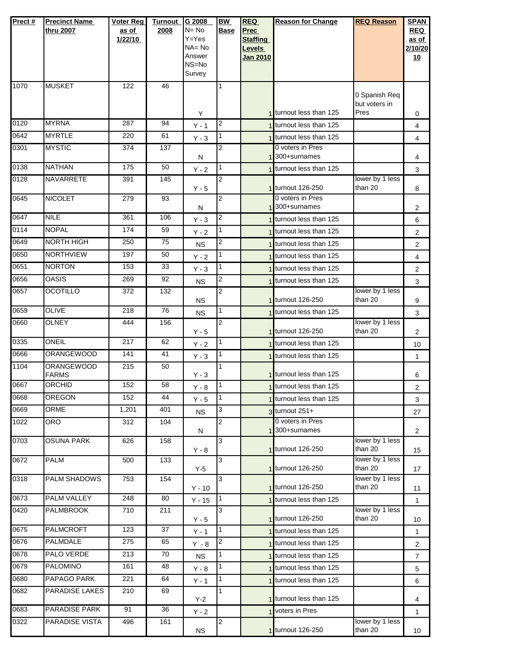| Prect#       | <b>Precinct Name</b><br>thru 2007      | <b>Voter Reg</b><br>as of<br>1/22/10 | <b>Turnout</b><br>2008 | G 2008<br>N= No<br>Y=Yes<br>NA= No<br>Answer<br>NS=No<br>Survey | <b>BW</b><br><b>Base</b> | <b>REQ</b><br>Prec<br><b>Staffing</b><br><b>Levels</b><br><b>Jan 2010</b> | <b>Reason for Change</b>                           | <b>REQ Reason</b>                             | <b>SPAN</b><br><b>REQ</b><br>as of<br>2/10/20<br>10 |
|--------------|----------------------------------------|--------------------------------------|------------------------|-----------------------------------------------------------------|--------------------------|---------------------------------------------------------------------------|----------------------------------------------------|-----------------------------------------------|-----------------------------------------------------|
| 1070         | <b>MUSKET</b>                          | 122                                  | 46                     |                                                                 | 1                        |                                                                           |                                                    | 0 Spanish Req<br>but voters in                |                                                     |
|              |                                        |                                      |                        | Υ                                                               |                          |                                                                           | 1 turnout less than 125                            | Pres                                          | 0                                                   |
| 0120         | <b>MYRNA</b>                           | 287                                  | 94                     | $Y - 1$                                                         | $\overline{2}$           |                                                                           | 1 turnout less than 125                            |                                               | 4                                                   |
| 0642<br>0301 | <b>MYRTLE</b><br><b>MYSTIC</b>         | 220<br>374                           | 61<br>137              | $Y - 3$                                                         | 1<br>$\overline{2}$      |                                                                           | turnout less than 125<br>0 voters in Pres          |                                               | 4                                                   |
|              |                                        |                                      |                        | N                                                               |                          |                                                                           | 300+surnames                                       |                                               | 4                                                   |
| 0138         | <b>NATHAN</b>                          | 175                                  | 50                     | $Y - 2$                                                         | 1                        |                                                                           | turnout less than 125                              |                                               | 3                                                   |
| 0128         | <b>NAVARRETE</b>                       | 391                                  | 145                    | $Y - 5$                                                         | $\overline{2}$           |                                                                           | 1 turnout 126-250                                  | lower by 1 less<br>than 20                    | 8                                                   |
| 0645         | <b>NICOLET</b>                         | 279                                  | 93                     | Ν                                                               | 2                        |                                                                           | 0 voters in Pres<br>300+surnames                   |                                               | $\overline{2}$                                      |
| 0647         | <b>NILE</b>                            | 361                                  | 106                    | $Y - 3$                                                         | $\overline{c}$           |                                                                           | turnout less than 125                              |                                               | 6                                                   |
| 0114         | <b>NOPAL</b>                           | 174                                  | 59                     | $Y - 2$                                                         | 1                        |                                                                           | 1 turnout less than 125                            |                                               | $\overline{2}$                                      |
| 0649         | NORTH HIGH                             | 250                                  | 75                     | <b>NS</b>                                                       | 2                        |                                                                           | 1 turnout less than 125                            |                                               | 2                                                   |
| 0650         | <b>NORTHVIEW</b>                       | 197                                  | 50                     | $Y - 2$                                                         | 1                        |                                                                           | 1 turnout less than 125                            |                                               | 4                                                   |
| 0651         | <b>NORTON</b>                          | 153                                  | 33                     | $Y - 3$                                                         | 1                        |                                                                           | 1 turnout less than 125                            |                                               | 2                                                   |
| 0656         | <b>OASIS</b>                           | 269                                  | 92                     | <b>NS</b>                                                       | 2                        |                                                                           | turnout less than 125                              |                                               | 3                                                   |
| 0657         | <b>OCOTILLO</b>                        | 372                                  | 132                    | <b>NS</b>                                                       | $\overline{2}$           |                                                                           | 1 turnout 126-250                                  | lower by 1 less<br>than 20                    | 9                                                   |
| 0659         | <b>OLIVE</b>                           | 218                                  | 76                     | <b>NS</b>                                                       | 1                        |                                                                           | 1 turnout less than 125                            |                                               | 3                                                   |
| 0660         | <b>OLNEY</b>                           | 444                                  | 156                    | $Y - 5$                                                         | 2                        |                                                                           | 1 turnout 126-250                                  | lower by 1 less<br>than 20                    | $\overline{2}$                                      |
| 0335         | ONEIL                                  | 217                                  | 62                     | $Y - 2$                                                         | 1                        |                                                                           | 1 turnout less than 125                            |                                               | 10                                                  |
| 0666<br>1104 | <b>ORANGEWOOD</b><br><b>ORANGEWOOD</b> | 141<br>215                           | 41<br>50               | $Y - 3$                                                         | 1<br>1                   |                                                                           | 1 turnout less than 125<br>1 turnout less than 125 |                                               | 1                                                   |
| 0667         | <b>FARMS</b><br>ORCHID                 | 152                                  | 58                     | $Y - 3$<br>$Y - 8$                                              | 1                        |                                                                           | 1 turnout less than 125                            |                                               | 6<br>2                                              |
| 0668         | <b>OREGON</b>                          | 152                                  | 44                     | $Y - 5$                                                         | I1                       |                                                                           | 1 turnout less than 125                            |                                               | 3                                                   |
| 0669         | <b>ORME</b>                            | 1,201                                | 401                    | <b>NS</b>                                                       | 3                        |                                                                           | $3$ turnout 251+                                   |                                               | 27                                                  |
| 1022         | <b>ORO</b>                             | 312                                  | 104                    |                                                                 | 2                        |                                                                           | 0 voters in Pres                                   |                                               |                                                     |
|              |                                        |                                      |                        | N                                                               |                          |                                                                           | 1 300+surnames                                     |                                               | $\overline{2}$                                      |
| 0703         | OSUNA PARK                             | 626                                  | 158                    | Y - 8                                                           | 3                        |                                                                           | 1 turnout 126-250                                  | lower by 1 less<br>than 20<br>lower by 1 less | 15                                                  |
| 0672         | <b>PALM</b>                            | 500                                  | 133                    | $Y-5$                                                           | 3                        |                                                                           | 1 turnout 126-250                                  | than 20                                       | 17                                                  |
| 0318         | PALM SHADOWS                           | 753                                  | 154                    | $Y - 10$                                                        | 3                        |                                                                           | 1 turnout 126-250                                  | lower by 1 less<br>than 20                    | 11                                                  |
| 0673         | <b>PALM VALLEY</b>                     | 248                                  | 80                     | $Y - 15$                                                        | 1                        |                                                                           | 1 turnout less than 125                            |                                               | $\mathbf{1}$                                        |
| 0420         | <b>PALMBROOK</b>                       | 710                                  | 211                    | Y - 5                                                           | 3                        |                                                                           | 1 turnout 126-250                                  | lower by 1 less<br>than 20                    | 10                                                  |
| 0675         | <b>PALMCROFT</b>                       | 123                                  | 37                     | $Y - 1$                                                         | 1                        |                                                                           | 1 turnout less than 125                            |                                               | 1                                                   |
| 0676         | PALMDALE                               | 275                                  | 65                     | $Y - 8$                                                         | 2                        |                                                                           | 1 turnout less than 125                            |                                               | 2                                                   |
| 0678         | PALO VERDE                             | 213                                  | 70                     | <b>NS</b>                                                       | 1                        |                                                                           | 1 turnout less than 125                            |                                               | $\overline{7}$                                      |
| 0679         | <b>PALOMINO</b>                        | 161                                  | 48                     | $Y - 8$                                                         | 1                        |                                                                           | 1 turnout less than 125                            |                                               | 5                                                   |
| 0680         | PAPAGO PARK                            | 221                                  | 64                     | $Y - 1$                                                         | $\mathbf{1}$             |                                                                           | turnout less than 125                              |                                               | 6                                                   |
| 0682         | PARADISE LAKES                         | 210                                  | 69                     | $Y-2$                                                           | 1                        |                                                                           | 1 turnout less than 125                            |                                               | 4                                                   |
| 0683         | PARADISE PARK                          | 91                                   | 36                     | $Y - 2$                                                         |                          |                                                                           | voters in Pres                                     |                                               | $\mathbf{1}$                                        |
| 0322         | PARADISE VISTA                         | 496                                  | 161                    | <b>NS</b>                                                       | 2                        |                                                                           | 1 turnout 126-250                                  | lower by 1 less<br>than 20                    | 10 <sup>°</sup>                                     |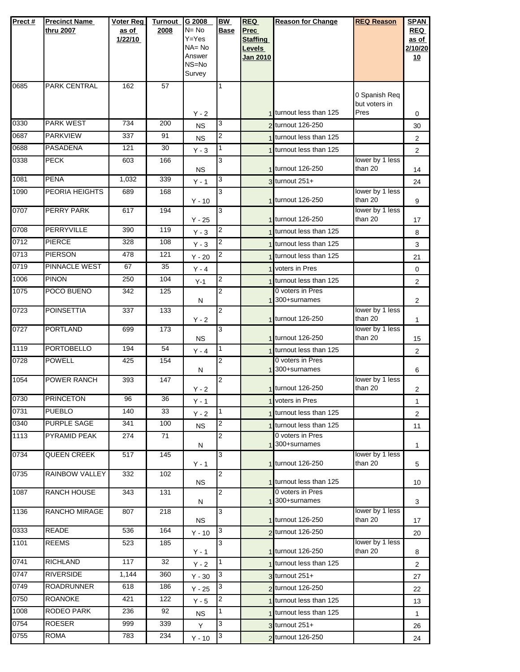| Prect# | <b>Precinct Name</b><br>thru 2007 | <b>Voter Reg</b><br>as of<br>1/22/10 | <b>Turnout</b><br>2008 | G 2008<br>$N = No$<br>Y=Yes<br>$NA = No$ | <b>BW</b><br><b>Base</b> | <b>REQ</b><br><b>Prec</b><br><b>Staffing</b> | <b>Reason for Change</b>                      | <b>REQ Reason</b>              | <b>SPAN</b><br><b>REQ</b><br>as of<br>2/10/20 |
|--------|-----------------------------------|--------------------------------------|------------------------|------------------------------------------|--------------------------|----------------------------------------------|-----------------------------------------------|--------------------------------|-----------------------------------------------|
|        |                                   |                                      |                        | Answer<br>NS=No<br>Survey                |                          | <b>Levels</b><br>Jan 2010                    |                                               |                                | 10                                            |
| 0685   | <b>PARK CENTRAL</b>               | 162                                  | 57                     |                                          | 1                        |                                              |                                               | 0 Spanish Req<br>but voters in |                                               |
|        |                                   |                                      |                        | $Y - 2$                                  |                          |                                              | 1 turnout less than 125                       | Pres                           | 0                                             |
| 0330   | <b>PARK WEST</b>                  | 734                                  | 200                    | <b>NS</b>                                | 3                        |                                              | 2 turnout 126-250                             |                                | 30                                            |
| 0687   | <b>PARKVIEW</b>                   | 337                                  | 91                     | <b>NS</b>                                | 2                        |                                              | turnout less than 125                         |                                | 2                                             |
| 0688   | <b>PASADENA</b>                   | 121                                  | 30                     | $Y - 3$                                  | 1                        |                                              | 1 turnout less than 125                       | lower by 1 less                | 2                                             |
| 0338   | <b>PECK</b>                       | 603                                  | 166                    | <b>NS</b>                                | 3                        |                                              | 1 turnout 126-250                             | than 20                        | 14                                            |
| 1081   | <b>PENA</b>                       | 1,032                                | 339                    | $Y - 1$                                  | 3                        |                                              | $3$ turnout 251+                              |                                | 24                                            |
| 1090   | <b>PEORIA HEIGHTS</b>             | 689                                  | 168                    | $Y - 10$                                 | 3                        |                                              | 1 turnout 126-250                             | lower by 1 less<br>than 20     | 9                                             |
| 0707   | PERRY PARK                        | 617                                  | 194                    | $Y - 25$                                 | 3                        |                                              | 1 turnout 126-250                             | lower by 1 less<br>than 20     | 17                                            |
| 0708   | PERRYVILLE                        | 390                                  | 119                    | $Y - 3$                                  | $\overline{c}$           |                                              | 1 turnout less than 125                       |                                | 8                                             |
| 0712   | <b>PIERCE</b>                     | 328                                  | 108                    | $Y - 3$                                  | 2                        |                                              | turnout less than 125                         |                                | 3                                             |
| 0713   | <b>PIERSON</b>                    | 478                                  | 121                    | $Y - 20$                                 | $\overline{2}$           |                                              | 1 turnout less than 125                       |                                | 21                                            |
| 0719   | PINNACLE WEST                     | 67                                   | 35                     | $Y - 4$                                  |                          |                                              | 1 voters in Pres                              |                                | 0                                             |
| 1006   | <b>PINON</b>                      | 250                                  | 104                    | $Y-1$                                    | 2                        |                                              | 1 turnout less than 125                       |                                | 2                                             |
| 1075   | POCO BUENO                        | 342                                  | 125                    | N                                        | $\overline{2}$           |                                              | 0 voters in Pres<br>1 <sup>300+surnames</sup> |                                | $\overline{2}$                                |
| 0723   | <b>POINSETTIA</b>                 | 337                                  | 133                    | $Y - 2$                                  | 2                        |                                              | 1 turnout 126-250                             | lower by 1 less<br>than 20     | 1                                             |
| 0727   | <b>PORTLAND</b>                   | 699                                  | 173                    | <b>NS</b>                                | 3                        |                                              | 1 turnout 126-250                             | lower by 1 less<br>than 20     | 15                                            |
| 1119   | <b>PORTOBELLO</b>                 | 194                                  | 54                     | $Y - 4$                                  | 1                        |                                              | 1 turnout less than 125                       |                                | 2                                             |
| 0728   | <b>POWELL</b>                     | 425                                  | 154                    | N                                        | 2                        |                                              | 0 voters in Pres<br>1 300+surnames            |                                | 6                                             |
| 1054   | POWER RANCH                       | 393                                  | 147                    | $Y - 2$                                  | $\overline{2}$           |                                              | 1 turnout 126-250                             | lower by 1 less<br>than 20     | $\overline{c}$                                |
| 0730   | <b>PRINCETON</b>                  | 96                                   | 36                     | Y - 1                                    |                          |                                              | 1 voters in Pres                              |                                | 1                                             |
| 0731   | <b>PUEBLO</b>                     | 140                                  | 33                     | $Y - 2$                                  | 1                        |                                              | 1 turnout less than 125                       |                                | $\overline{2}$                                |
| 0340   | <b>PURPLE SAGE</b>                | 341                                  | 100                    | <b>NS</b>                                | 2                        |                                              | turnout less than 125                         |                                | 11                                            |
| 1113   | PYRAMID PEAK                      | 274                                  | 71                     | N                                        | 2                        |                                              | 0 voters in Pres<br>300+surnames              |                                | 1                                             |
| 0734   | <b>QUEEN CREEK</b>                | 517                                  | $\frac{145}{2}$        | $Y - 1$                                  | 3                        |                                              | 1 turnout 126-250                             | lower by 1 less<br>than 20     | 5                                             |
| 0735   | <b>RAINBOW VALLEY</b>             | 332                                  | 102                    | NS.                                      | 2                        |                                              | 1 turnout less than 125                       |                                | 10                                            |
| 1087   | RANCH HOUSE                       | 343                                  | 131                    | N                                        | 2                        |                                              | 0 voters in Pres<br>1 300+surnames            |                                | 3                                             |
| 1136   | RANCHO MIRAGE                     | 807                                  | 218                    | <b>NS</b>                                | 3                        |                                              | 1 turnout 126-250                             | lower by 1 less<br>than 20     | 17                                            |
| 0333   | <b>READE</b>                      | 536                                  | 164                    | $Y - 10$                                 | 3                        |                                              | 2 turnout 126-250                             |                                | 20                                            |
| 1101   | <b>REEMS</b>                      | 523                                  | 185                    | $Y - 1$                                  | 3                        |                                              | 1 turnout 126-250                             | lower by 1 less<br>than 20     | 8                                             |
| 0741   | <b>RICHLAND</b>                   | 117                                  | 32                     | $Y - 2$                                  | 1                        |                                              | 1 turnout less than 125                       |                                | 2                                             |
| 0747   | <b>RIVERSIDE</b>                  | 1,144                                | 360                    | $Y - 30$                                 | 3                        |                                              | $3$ turnout $251+$                            |                                | 27                                            |
| 0749   | <b>ROADRUNNER</b>                 | 618                                  | 186                    | $Y - 25$                                 | 3                        |                                              | 2 turnout 126-250                             |                                | 22                                            |
| 0750   | <b>ROANOKE</b>                    | 421                                  | 122                    | $Y - 5$                                  | 2                        |                                              | turnout less than 125                         |                                | 13                                            |
| 1008   | RODEO PARK                        | 236                                  | 92                     | NS.                                      | 1                        |                                              | 1 turnout less than 125                       |                                | 1                                             |
| 0754   | <b>ROESER</b>                     | 999                                  | 339                    | Y                                        | 3                        |                                              | 3 turnout 251+                                |                                | 26                                            |
| 0755   | <b>ROMA</b>                       | 783                                  | 234                    | $Y - 10$                                 | 3                        |                                              | 2 turnout 126-250                             |                                | 24                                            |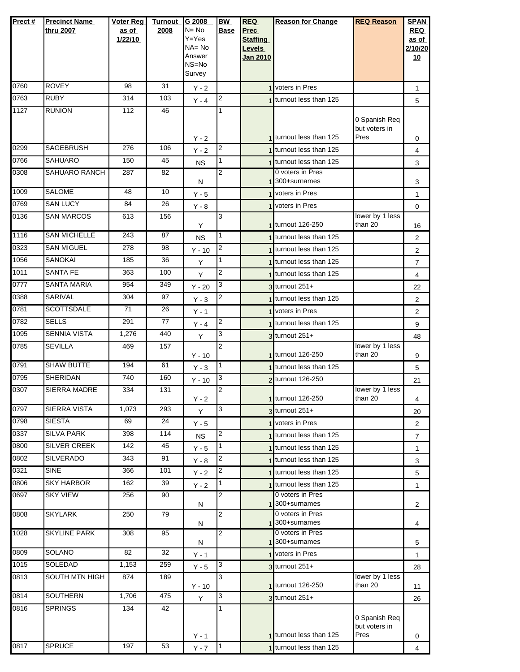| Prect# | <b>Precinct Name</b>  | <b>Voter Reg</b> | <b>Turnout</b>  | G 2008              | <b>BW</b>      | <b>REQ</b>      | <b>Reason for Change</b>           | <b>REQ Reason</b>          | <b>SPAN</b>    |
|--------|-----------------------|------------------|-----------------|---------------------|----------------|-----------------|------------------------------------|----------------------------|----------------|
|        | thru 2007             | as of            | 2008            | $N = No$            | <b>Base</b>    | <b>Prec</b>     |                                    |                            | <b>REQ</b>     |
|        |                       | 1/22/10          |                 | $Y = Yes$           |                | <b>Staffing</b> |                                    |                            | as of          |
|        |                       |                  |                 | $NA = No$<br>Answer |                | Levels          |                                    |                            | 2/10/20        |
|        |                       |                  |                 | NS=No               |                | <b>Jan 2010</b> |                                    |                            | 10             |
|        |                       |                  |                 | Survey              |                |                 |                                    |                            |                |
| 0760   | <b>ROVEY</b>          | 98               | 31              | $Y - 2$             |                |                 | 1 voters in Pres                   |                            | $\mathbf{1}$   |
| 0763   | <b>RUBY</b>           | 314              | 103             | $Y - 4$             | 2              |                 | 1 turnout less than 125            |                            | 5              |
| 1127   | <b>RUNION</b>         | 112              | 46              |                     | 1              |                 |                                    |                            |                |
|        |                       |                  |                 |                     |                |                 |                                    | 0 Spanish Req              |                |
|        |                       |                  |                 |                     |                |                 | 1 turnout less than 125            | but voters in<br>Pres      |                |
| 0299   | <b>SAGEBRUSH</b>      | 276              | 106             | $Y - 2$<br>$Y - 2$  | 2              |                 | 1 turnout less than 125            |                            | 0<br>4         |
| 0766   | <b>SAHUARO</b>        | 150              | 45              | <b>NS</b>           | 1              |                 | 1 turnout less than 125            |                            | 3              |
| 0308   | SAHUARO RANCH         | 287              | 82              |                     | 2              |                 | 0 voters in Pres                   |                            |                |
|        |                       |                  |                 | N                   |                |                 | 300+surnames                       |                            | 3              |
| 1009   | <b>SALOME</b>         | 48               | 10              | $Y - 5$             |                |                 | <b>Voters in Pres</b>              |                            | $\mathbf{1}$   |
| 0769   | <b>SAN LUCY</b>       | 84               | 26              | $Y - 8$             |                |                 | 1 voters in Pres                   |                            | 0              |
| 0136   | <b>SAN MARCOS</b>     | 613              | 156             |                     | 3              |                 | 1 turnout 126-250                  | lower by 1 less<br>than 20 |                |
| 1116   | <b>SAN MICHELLE</b>   | 243              | $\overline{87}$ | Y<br><b>NS</b>      | 1              |                 | 1 turnout less than 125            |                            | 16<br>2        |
| 0323   | <b>SAN MIGUEL</b>     | 278              | 98              | $Y - 10$            | 2              |                 | 1 turnout less than 125            |                            | 2              |
| 1056   | <b>SANOKAI</b>        | 185              | 36              | Y                   | 1              |                 | 1 turnout less than 125            |                            | $\overline{7}$ |
| 1011   | <b>SANTA FE</b>       | 363              | 100             | Y                   | 2              |                 | 1 turnout less than 125            |                            | 4              |
| 0777   | <b>SANTA MARIA</b>    | 954              | 349             | $Y - 20$            | 3              |                 | $3$ turnout $251+$                 |                            | 22             |
| 0388   | SARIVAL               | 304              | 97              | $Y - 3$             | 2              |                 | 1 turnout less than 125            |                            | 2              |
| 0781   | <b>SCOTTSDALE</b>     | 71               | 26              | $Y - 1$             |                |                 | 1 voters in Pres                   |                            | 2              |
| 0782   | <b>SELLS</b>          | 291              | 77              | $Y - 4$             | 2              |                 | turnout less than 125              |                            | 9              |
| 1095   | <b>SENNIA VISTA</b>   | 1,276            | 440             | Y                   | 3              |                 | $3$ turnout $251+$                 |                            | 48             |
| 0785   | <b>SEVILLA</b>        | 469              | 157             |                     | 2              |                 |                                    | lower by 1 less            |                |
|        |                       |                  |                 | $Y - 10$            |                |                 | 1 turnout 126-250                  | than 20                    | 9              |
| 0791   | <b>SHAW BUTTE</b>     | 194              | 61              | $Y - 3$             | 1              |                 | 1 turnout less than 125            |                            | 5              |
| 0795   | <b>SHERIDAN</b>       | 740              | 160             | $Y - 10$            | 3              |                 | 2 turnout 126-250                  |                            | 21             |
| 0307   | SIERRA MADRE          | 334              | 131             | $Y - 2$             | 2              |                 | 1 turnout 126-250                  | lower by 1 less<br>than 20 | 4              |
| 0797   | SIERRA VISTA          | 1,073            | 293             | Y                   | 3              |                 | $3$ turnout $251+$                 |                            | 20             |
| 0798   | <b>SIESTA</b>         | 69               | 24              | $Y - 5$             |                |                 | 1 voters in Pres                   |                            | 2              |
| 0337   | <b>SILVA PARK</b>     | 398              | 114             | <b>NS</b>           | 2              |                 | turnout less than 125              |                            | $\overline{7}$ |
| 0800   | <b>SILVER CREEK</b>   | 142              | 45              | $Y - 5$             | 1.             |                 | turnout less than 125              |                            | $\mathbf{1}$   |
| 0802   | <b>SILVERADO</b>      | 343              | 91              | $Y - 8$             | 2              |                 | 1 turnout less than 125            |                            | 3              |
| 0321   | <b>SINE</b>           | 366              | 101             | $Y - 2$             | 2              |                 | 1 turnout less than 125            |                            | 5              |
| 0806   | <b>SKY HARBOR</b>     | 162              | 39              | $Y - 2$             | 1              |                 | 1 turnout less than 125            |                            | 1              |
| 0697   | <b>SKY VIEW</b>       | 256              | 90              |                     | $\overline{2}$ |                 | 0 voters in Pres                   |                            |                |
|        |                       |                  |                 | N                   |                |                 | 1 300+surnames                     |                            | 2              |
| 0808   | <b>SKYLARK</b>        | 250              | 79              |                     | $\overline{2}$ |                 | 0 voters in Pres<br>1 300+surnames |                            |                |
| 1028   | <b>SKYLINE PARK</b>   | 308              | 95              | Ν                   | 2              |                 | 0 voters in Pres                   |                            | 4              |
|        |                       |                  |                 | N                   |                |                 | 1 300+surnames                     |                            | 5              |
| 0809   | SOLANO                | 82               | 32              | $Y - 1$             |                |                 | voters in Pres                     |                            | $\mathbf{1}$   |
| 1015   | <b>SOLEDAD</b>        | 1,153            | 259             | $Y - 5$             | 3              |                 | $3$ turnout $251+$                 |                            | 28             |
| 0813   | <b>SOUTH MTN HIGH</b> | 874              | 189             |                     | 3              |                 | 1 turnout 126-250                  | lower by 1 less<br>than 20 |                |
| 0814   | <b>SOUTHERN</b>       | 1,706            | 475             | $Y - 10$<br>Y       | 3              |                 | 3 turnout 251+                     |                            | 11             |
| 0816   | <b>SPRINGS</b>        | 134              | 42              |                     | 1              |                 |                                    |                            | 26             |
|        |                       |                  |                 |                     |                |                 |                                    | 0 Spanish Req              |                |
|        |                       |                  |                 |                     |                |                 | 1 turnout less than 125            | but voters in              |                |
| 0817   | <b>SPRUCE</b>         | 197              | 53              | $Y - 1$             | $\mathbf{1}$   |                 | 1 turnout less than 125            | Pres                       | 0              |
|        |                       |                  |                 | $Y - 7$             |                |                 |                                    |                            | 4              |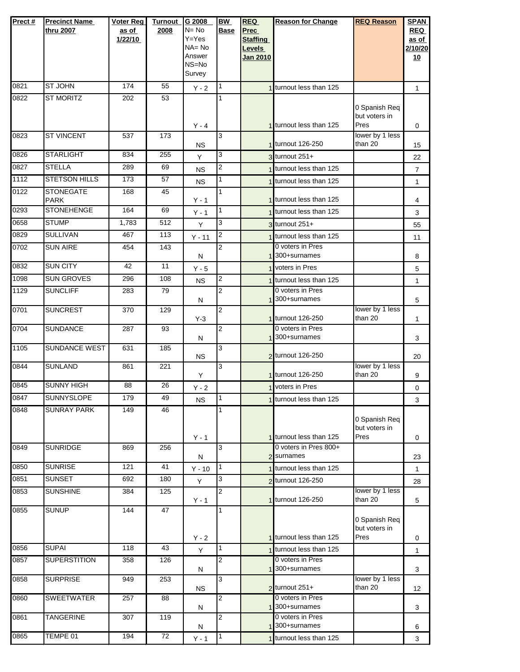| Prect# | <b>Precinct Name</b><br>thru 2007 | <b>Voter Reg</b><br>as of<br>1/22/10 | <b>Turnout</b><br>2008 | G 2008<br>$N = No$<br>$Y = Yes$<br>$NA = No$<br>Answer<br>NS=No<br>Survey | <b>BW</b><br><b>Base</b> | <b>REQ</b><br>Prec<br><b>Staffing</b><br><b>Levels</b><br>Jan 2010 | <b>Reason for Change</b>                    | <b>REQ Reason</b>                      | <b>SPAN</b><br><b>REQ</b><br>as of<br>2/10/20<br>10 |
|--------|-----------------------------------|--------------------------------------|------------------------|---------------------------------------------------------------------------|--------------------------|--------------------------------------------------------------------|---------------------------------------------|----------------------------------------|-----------------------------------------------------|
| 0821   | <b>ST JOHN</b>                    | 174                                  | 55                     | $Y - 2$                                                                   | 1                        |                                                                    | 1 turnout less than 125                     |                                        | $\mathbf{1}$                                        |
| 0822   | <b>ST MORITZ</b>                  | 202                                  | 53                     | $Y - 4$                                                                   | 1                        |                                                                    | 1 turnout less than 125                     | 0 Spanish Req<br>but voters in<br>Pres | 0                                                   |
| 0823   | <b>ST VINCENT</b>                 | 537                                  | 173                    | <b>NS</b>                                                                 | 3                        |                                                                    | 1 turnout 126-250                           | lower by 1 less<br>than 20             | 15                                                  |
| 0826   | <b>STARLIGHT</b>                  | 834                                  | 255                    | Y                                                                         | 3                        |                                                                    | $3$ turnout 251+                            |                                        | 22                                                  |
| 0827   | <b>STELLA</b>                     | 289                                  | 69                     | <b>NS</b>                                                                 | 2                        |                                                                    | 1 turnout less than 125                     |                                        | $\overline{7}$                                      |
| 1112   | <b>STETSON HILLS</b>              | 173                                  | 57                     | <b>NS</b>                                                                 | 1                        |                                                                    | 1 turnout less than 125                     |                                        | $\mathbf{1}$                                        |
| 0122   | <b>STONEGATE</b><br><b>PARK</b>   | 168                                  | 45                     | $Y - 1$                                                                   | 1                        |                                                                    | 1 turnout less than 125                     |                                        | 4                                                   |
| 0293   | <b>STONEHENGE</b>                 | 164                                  | 69                     | $Y - 1$                                                                   | 1                        |                                                                    | 1 turnout less than 125                     |                                        | 3                                                   |
| 0658   | <b>STUMP</b>                      | 1,783                                | 512                    | Y                                                                         | 3                        |                                                                    | 3 turnout 251+                              |                                        | 55                                                  |
| 0829   | <b>SULLIVAN</b>                   | 467                                  | 113                    | $Y - 11$                                                                  | 2                        |                                                                    | 1 turnout less than 125                     |                                        | 11                                                  |
| 0702   | <b>SUN AIRE</b>                   | 454                                  | 143                    | N                                                                         | 2                        |                                                                    | 0 voters in Pres<br>1300+surnames           |                                        | 8                                                   |
| 0832   | <b>SUN CITY</b>                   | 42                                   | 11                     | $Y - 5$                                                                   |                          |                                                                    | 1 voters in Pres                            |                                        | 5                                                   |
| 1098   | <b>SUN GROVES</b>                 | 296                                  | 108                    | <b>NS</b>                                                                 | 2                        |                                                                    | turnout less than 125                       |                                        | $\mathbf{1}$                                        |
| 1129   | <b>SUNCLIFF</b>                   | 283                                  | 79                     | Ν                                                                         | $\overline{2}$           |                                                                    | 0 voters in Pres<br>1 300+surnames          |                                        | 5                                                   |
| 0701   | <b>SUNCREST</b>                   | 370                                  | 129                    | $Y-3$                                                                     | 2                        |                                                                    | 1 turnout 126-250                           | lower by 1 less<br>than 20             | 1                                                   |
| 0704   | <b>SUNDANCE</b>                   | 287                                  | 93                     | N                                                                         | $\overline{2}$           |                                                                    | 0 voters in Pres<br>1 300+surnames          |                                        | 3                                                   |
| 1105   | SUNDANCE WEST                     | 631                                  | 185                    | <b>NS</b>                                                                 | 3                        |                                                                    | 2 turnout 126-250                           |                                        | 20                                                  |
| 0844   | <b>SUNLAND</b>                    | 861                                  | 221                    | Y                                                                         | 3                        |                                                                    | 1 turnout 126-250                           | lower by 1 less<br>than 20             | 9                                                   |
| 0845   | <b>SUNNY HIGH</b>                 | 88                                   | 26                     | $Y - 2$                                                                   |                          |                                                                    | voters in Pres                              |                                        | 0                                                   |
| 0847   | <b>SUNNYSLOPE</b>                 | 179                                  | 49                     | <b>NS</b>                                                                 | I1.                      |                                                                    | 1 turnout less than 125                     |                                        | З                                                   |
| 0848   | <b>SUNRAY PARK</b>                | 149                                  | 46                     | $Y - 1$                                                                   |                          |                                                                    | 1 turnout less than 125                     | 0 Spanish Req<br>but voters in<br>Pres | 0                                                   |
| 0849   | <b>SUNRIDGE</b>                   | 869                                  | 256                    | N                                                                         | 3                        |                                                                    | 0 voters in Pres 800+<br>2 surnames         |                                        | 23                                                  |
| 0850   | <b>SUNRISE</b>                    | 121                                  | 41                     | $Y - 10$                                                                  | 1                        |                                                                    | 1 turnout less than 125                     |                                        | $\mathbf{1}$                                        |
| 0851   | <b>SUNSET</b>                     | 692                                  | 180                    | Y                                                                         | 3                        |                                                                    | 2 turnout 126-250                           |                                        | 28                                                  |
| 0853   | <b>SUNSHINE</b>                   | 384                                  | 125                    | $Y - 1$                                                                   | $\overline{2}$           |                                                                    | 1 turnout 126-250                           | lower by 1 less<br>than 20             | 5                                                   |
| 0855   | <b>SUNUP</b>                      | 144                                  | 47                     |                                                                           | 1                        |                                                                    |                                             | 0 Spanish Req<br>but voters in         |                                                     |
| 0856   | <b>SUPAI</b>                      | 118                                  | 43                     | $Y - 2$                                                                   | $\mathbf{1}$             |                                                                    | 1 turnout less than 125                     | Pres                                   | 0                                                   |
| 0857   | <b>SUPERSTITION</b>               | 358                                  | 126                    | Y                                                                         | 2                        |                                                                    | 1 turnout less than 125<br>0 voters in Pres |                                        | $\mathbf{1}$                                        |
|        |                                   |                                      |                        | N                                                                         |                          |                                                                    | 1 <sup>300+surnames</sup>                   |                                        | 3                                                   |
| 0858   | <b>SURPRISE</b>                   | 949                                  | 253                    | <b>NS</b>                                                                 | 3                        |                                                                    | $2$ turnout $251+$                          | lower by 1 less<br>than 20             | 12                                                  |
| 0860   | <b>SWEETWATER</b>                 | 257                                  | 88                     | N                                                                         | $\overline{2}$           |                                                                    | 0 voters in Pres<br>1 300+surnames          |                                        | 3                                                   |
| 0861   | <b>TANGERINE</b>                  | 307                                  | 119                    | N                                                                         | 2                        |                                                                    | 0 voters in Pres<br>1 300+surnames          |                                        | 6                                                   |
| 0865   | TEMPE 01                          | 194                                  | 72                     | $Y - 1$                                                                   | 1                        |                                                                    | 1 turnout less than 125                     |                                        | 3                                                   |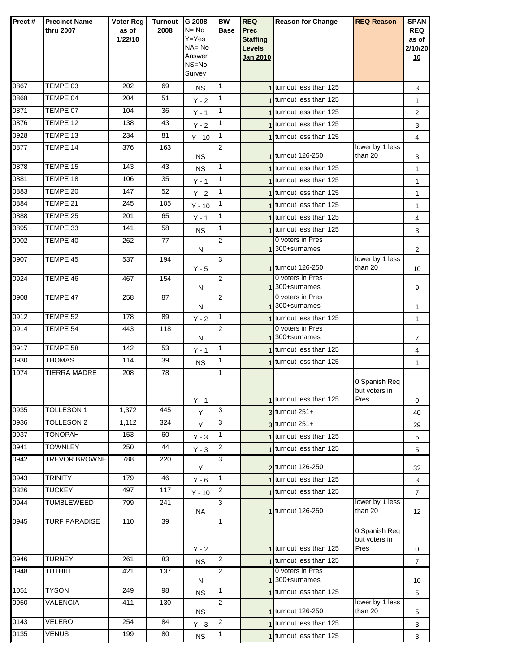| Prect# | <b>Precinct Name</b><br>thru 2007 | Voter Reg<br>as of<br>1/22/10 | <b>Turnout</b><br>2008 | G 2008<br>N= No<br>Y=Yes<br>$NA = No$<br>Answer<br>NS=No<br>Survey | <b>BW</b><br><b>Base</b> | <b>REQ</b><br>Prec<br><b>Staffing</b><br>Levels<br><b>Jan 2010</b> | <b>Reason for Change</b>                      | <b>REQ Reason</b>                      | <b>SPAN</b><br><b>REQ</b><br>as of<br>2/10/20<br><u>10</u> |
|--------|-----------------------------------|-------------------------------|------------------------|--------------------------------------------------------------------|--------------------------|--------------------------------------------------------------------|-----------------------------------------------|----------------------------------------|------------------------------------------------------------|
| 0867   | TEMPE 03                          | 202                           | 69                     | <b>NS</b>                                                          | 1                        |                                                                    | 1 turnout less than 125                       |                                        | 3                                                          |
| 0868   | TEMPE 04                          | 204                           | 51                     | $Y - 2$                                                            | 1                        |                                                                    | 1 turnout less than 125                       |                                        | 1                                                          |
| 0871   | TEMPE 07                          | 104                           | 36                     | $Y - 1$                                                            | 1                        |                                                                    | turnout less than 125                         |                                        | 2                                                          |
| 0876   | TEMPE 12                          | 138                           | 43                     | $Y - 2$                                                            | $\mathbf{1}$             |                                                                    | 1 turnout less than 125                       |                                        | 3                                                          |
| 0928   | TEMPE 13                          | 234                           | 81                     | $Y - 10$                                                           | 1                        |                                                                    | 1 turnout less than 125                       |                                        | 4                                                          |
| 0877   | TEMPE 14                          | 376                           | 163                    | <b>NS</b>                                                          | 2                        |                                                                    | 1 turnout 126-250                             | lower by 1 less<br>than 20             | 3                                                          |
| 0878   | TEMPE 15                          | 143                           | 43                     | <b>NS</b>                                                          | 1                        |                                                                    | 1 turnout less than 125                       |                                        | $\mathbf{1}$                                               |
| 0881   | TEMPE 18                          | 106                           | 35                     | $Y - 1$                                                            | $\mathbf{1}$             |                                                                    | 1 turnout less than 125                       |                                        | $\mathbf{1}$                                               |
| 0883   | TEMPE 20                          | 147                           | 52                     | $Y - 2$                                                            | 1                        |                                                                    | 1 turnout less than 125                       |                                        | 1                                                          |
| 0884   | TEMPE 21                          | 245                           | 105                    | $Y - 10$                                                           | 1                        |                                                                    | 1 turnout less than 125                       |                                        | $\mathbf{1}$                                               |
| 0888   | TEMPE 25                          | 201                           | 65                     | $Y - 1$                                                            | 1                        |                                                                    | 1 turnout less than 125                       |                                        | 4                                                          |
| 0895   | TEMPE 33                          | 141                           | 58                     | <b>NS</b>                                                          | 1                        |                                                                    | 1 turnout less than 125                       |                                        | 3                                                          |
| 0902   | TEMPE 40                          | 262                           | $\overline{77}$        | N                                                                  | $\overline{2}$           |                                                                    | 0 voters in Pres<br>1300+surnames             |                                        | $\overline{2}$                                             |
| 0907   | TEMPE 45                          | 537                           | 194                    | Y - 5                                                              | 3                        |                                                                    | 1 turnout 126-250                             | lower by 1 less<br>than 20             | 10                                                         |
| 0924   | TEMPE 46                          | 467                           | 154                    | N                                                                  | 2                        |                                                                    | 0 voters in Pres<br>1 300+surnames            |                                        | 9                                                          |
| 0908   | TEMPE 47                          | 258                           | 87                     | N                                                                  | $\overline{2}$           |                                                                    | 0 voters in Pres<br>1 <sup>300+surnames</sup> |                                        | 1                                                          |
| 0912   | TEMPE 52                          | 178                           | 89                     | $Y - 2$                                                            | 1                        |                                                                    | 1 turnout less than 125                       |                                        | 1                                                          |
| 0914   | TEMPE 54                          | 443                           | 118                    | N                                                                  | $\overline{2}$           |                                                                    | 0 voters in Pres<br>1 300+surnames            |                                        | $\overline{7}$                                             |
| 0917   | TEMPE 58                          | 142                           | 53                     | $Y - 1$                                                            | 1                        |                                                                    | 1 turnout less than 125                       |                                        | 4                                                          |
| 0930   | <b>THOMAS</b>                     | 114                           | 39                     | <b>NS</b>                                                          | 1                        |                                                                    | 1 turnout less than 125                       |                                        | 1                                                          |
| 1074   | <b>TIERRA MADRE</b>               | 208                           | 78                     | $Y - 1$                                                            | 1                        |                                                                    | 1 turnout less than 125                       | 0 Spanish Req<br>but voters in<br>Pres | 0                                                          |
| 0935   | TOLLESON 1                        | 1,372                         | 445                    | Y                                                                  | 3                        |                                                                    | 3 turnout 251+                                |                                        | 40                                                         |
| 0936   | <b>TOLLESON 2</b>                 | 1,112                         | 324                    | Y                                                                  | 3                        |                                                                    | $3$ turnout $251+$                            |                                        | 29                                                         |
| 0937   | <b>TONOPAH</b>                    | 153                           | 60                     | $Y - 3$                                                            | 1                        |                                                                    | 1 turnout less than 125                       |                                        | 5                                                          |
| 0941   | <b>TOWNLEY</b>                    | 250                           | 44                     | $Y - 3$                                                            | 2                        |                                                                    | 1 turnout less than 125                       |                                        | 5                                                          |
| 0942   | <b>TREVOR BROWNE</b>              | 788                           | 220                    | Y                                                                  | 3                        |                                                                    | 2 turnout 126-250                             |                                        | 32                                                         |
| 0943   | <b>TRINITY</b>                    | 179                           | 46                     | $Y - 6$                                                            | 1                        |                                                                    | 1 turnout less than 125                       |                                        | 3                                                          |
| 0326   | <b>TUCKEY</b>                     | 497                           | 117                    | $Y - 10$                                                           | 2                        |                                                                    | 1 turnout less than 125                       |                                        | $\overline{7}$                                             |
| 0944   | TUMBLEWEED                        | 799                           | 241                    | <b>NA</b>                                                          | 3                        |                                                                    | 1 turnout 126-250                             | lower by 1 less<br>than 20             | 12                                                         |
| 0945   | <b>TURF PARADISE</b>              | 110                           | 39                     | $Y - 2$                                                            |                          |                                                                    | 1 turnout less than 125                       | 0 Spanish Req<br>but voters in<br>Pres | 0                                                          |
| 0946   | <b>TURNEY</b>                     | 261                           | 83                     | <b>NS</b>                                                          | $\overline{2}$           |                                                                    | 1 turnout less than 125                       |                                        | $\overline{7}$                                             |
| 0948   | <b>TUTHILL</b>                    | 421                           | 137                    | N                                                                  | $\overline{2}$           |                                                                    | 0 voters in Pres<br>1 300+surnames            |                                        | 10                                                         |
| 1051   | <b>TYSON</b>                      | 249                           | 98                     | <b>NS</b>                                                          | 1                        |                                                                    | 1 turnout less than 125                       |                                        | 5                                                          |
| 0950   | <b>VALENCIA</b>                   | 411                           | 130                    | <b>NS</b>                                                          | 2                        |                                                                    | 1 turnout 126-250                             | lower by 1 less<br>than 20             | 5                                                          |
| 0143   | VELERO                            | 254                           | 84                     | $Y - 3$                                                            | $\overline{2}$           |                                                                    | 1 turnout less than 125                       |                                        | 3                                                          |
| 0135   | <b>VENUS</b>                      | 199                           | 80                     | <b>NS</b>                                                          | 1                        |                                                                    | turnout less than 125                         |                                        | 3                                                          |
|        |                                   |                               |                        |                                                                    |                          |                                                                    |                                               |                                        |                                                            |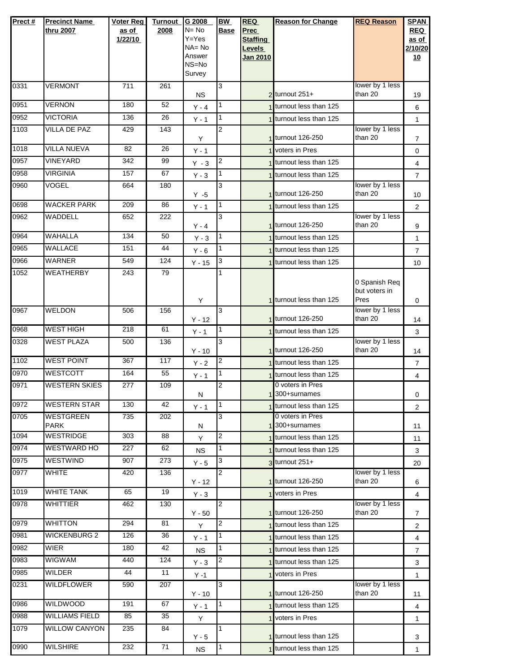| Prect#       | <b>Precinct Name</b><br>thru 2007 | Voter Reg<br>as of<br>1/22/10 | <b>Turnout</b><br>2008 | G 2008<br>$N = No$<br>$Y = Yes$<br>$NA = No$<br>Answer<br>NS=No<br>Survey | <b>BW</b><br><b>Base</b> | <b>REQ</b><br><b>Prec</b><br><b>Staffing</b><br>Levels<br>Jan 2010 | <b>Reason for Change</b>                           | <b>REQ Reason</b>                      | <b>SPAN</b><br><b>REQ</b><br>as of<br>2/10/20<br>10 |
|--------------|-----------------------------------|-------------------------------|------------------------|---------------------------------------------------------------------------|--------------------------|--------------------------------------------------------------------|----------------------------------------------------|----------------------------------------|-----------------------------------------------------|
| 0331         | <b>VERMONT</b>                    | 711                           | 261                    |                                                                           | 3                        |                                                                    |                                                    | lower by 1 less                        |                                                     |
| 0951         | <b>VERNON</b>                     | 180                           | 52                     | <b>NS</b>                                                                 | $\mathbf{1}$             |                                                                    | $2$ turnout 251+<br>1 turnout less than 125        | than 20                                | 19                                                  |
| 0952         | <b>VICTORIA</b>                   | 136                           | 26                     | $Y - 4$                                                                   | $\mathbf{1}$             |                                                                    | 1 turnout less than 125                            |                                        | 6                                                   |
| 1103         | VILLA DE PAZ                      | 429                           | 143                    | $Y - 1$                                                                   | 2                        |                                                                    |                                                    | lower by 1 less                        | $\mathbf{1}$                                        |
|              |                                   |                               |                        | Υ                                                                         |                          |                                                                    | 1 turnout 126-250                                  | than 20                                | $\overline{7}$                                      |
| 1018         | <b>VILLA NUEVA</b>                | 82                            | 26                     | $Y - 1$                                                                   |                          |                                                                    | 1 voters in Pres                                   |                                        | 0                                                   |
| 0957         | VINEYARD                          | 342                           | 99                     | $Y - 3$                                                                   | $\overline{2}$           |                                                                    | 1 turnout less than 125                            |                                        | 4                                                   |
| 0958         | <b>VIRGINIA</b>                   | 157                           | 67                     | $Y - 3$                                                                   | $\mathbf{1}$             |                                                                    | 1 turnout less than 125                            |                                        | $\overline{7}$                                      |
| 0960         | <b>VOGEL</b>                      | 664                           | 180                    | $Y - 5$                                                                   | 3                        |                                                                    | 1 turnout 126-250                                  | lower by 1 less<br>than 20             | 10 <sup>1</sup>                                     |
| 0698         | <b>WACKER PARK</b>                | 209                           | 86                     | $Y - 1$                                                                   | 1                        |                                                                    | 1 turnout less than 125                            |                                        | $\overline{2}$                                      |
| 0962         | WADDELL                           | 652                           | 222                    |                                                                           | 3                        |                                                                    |                                                    | lower by 1 less                        |                                                     |
|              |                                   |                               |                        | $Y - 4$                                                                   |                          |                                                                    | 1 turnout 126-250                                  | than 20                                | 9                                                   |
| 0964<br>0965 | <b>WAHALLA</b><br><b>WALLACE</b>  | 134<br>151                    | 50<br>44               | $Y - 3$                                                                   | 1<br>1                   |                                                                    | 1 turnout less than 125                            |                                        | $\mathbf{1}$                                        |
| 0966         | <b>WARNER</b>                     | 549                           | 124                    | $Y - 6$                                                                   | 3                        |                                                                    | 1 turnout less than 125                            |                                        | $\overline{7}$                                      |
| 1052         | <b>WEATHERBY</b>                  | 243                           | 79                     | $Y - 15$                                                                  | 1                        |                                                                    | 1 turnout less than 125                            |                                        | 10 <sup>°</sup>                                     |
|              |                                   |                               |                        | Υ                                                                         |                          |                                                                    | 1 turnout less than 125                            | 0 Spanish Req<br>but voters in<br>Pres | 0                                                   |
| 0967         | <b>WELDON</b>                     | 506                           | 156                    | $Y - 12$                                                                  | $\overline{3}$           |                                                                    | 1 turnout 126-250                                  | lower by 1 less<br>than 20             | 14                                                  |
| 0968         | <b>WEST HIGH</b>                  | 218                           | 61                     | $Y - 1$                                                                   | 1                        |                                                                    | 1 turnout less than 125                            |                                        | 3                                                   |
| 0328         | <b>WEST PLAZA</b>                 | 500                           | 136                    |                                                                           | 3                        |                                                                    |                                                    | lower by 1 less                        |                                                     |
|              |                                   |                               |                        | $Y - 10$                                                                  |                          |                                                                    | 1 turnout 126-250                                  | than 20                                | 14                                                  |
| 1102         | <b>WEST POINT</b>                 | 367                           | 117                    | $Y - 2$                                                                   | $\overline{2}$           |                                                                    | 1 turnout less than 125                            |                                        | $\overline{7}$                                      |
| 0970         | <b>WESTCOTT</b>                   | 164                           | 55                     | $Y - 1$                                                                   | 1                        |                                                                    | 1 turnout less than 125<br>0 voters in Pres        |                                        | 4                                                   |
| 0971         | <b>WESTERN SKIES</b>              | 277                           | 109                    | N                                                                         | 2                        |                                                                    | 1 300+surnames                                     |                                        | 0                                                   |
| 0972         | <b>WESTERN STAR</b>               | 130                           | 42                     | $Y - 1$                                                                   | 11                       |                                                                    | 1 turnout less than 125                            |                                        | $\overline{2}$                                      |
| 0705         | WESTGREEN                         | 735                           | 202                    |                                                                           | 3                        |                                                                    | 0 voters in Pres                                   |                                        |                                                     |
| 1094         | PARK<br><b>WESTRIDGE</b>          | 303                           | 88                     | Ν                                                                         | $\overline{\mathbf{c}}$  |                                                                    | 1 300+surnames                                     |                                        | 11                                                  |
| 0974         | <b>WESTWARD HO</b>                | 227                           | 62                     | Y                                                                         | 1                        |                                                                    | 1 turnout less than 125<br>1 turnout less than 125 |                                        | 11                                                  |
| 0975         | WESTWIND                          | 907                           | 273                    | <b>NS</b>                                                                 | 3                        |                                                                    | 3 turnout 251+                                     |                                        | 3                                                   |
| 0977         | <b>WHITE</b>                      | 420                           | 136                    | $Y - 5$                                                                   | $\overline{2}$           |                                                                    |                                                    | lower by 1 less                        | 20                                                  |
|              |                                   |                               |                        | $Y - 12$                                                                  |                          |                                                                    | 1 turnout 126-250                                  | than 20                                | 6                                                   |
| 1019         | WHITE TANK                        | 65                            | 19                     | $Y - 3$                                                                   |                          |                                                                    | 1 voters in Pres                                   |                                        | 4                                                   |
| 0978         | <b>WHITTIER</b>                   | 462                           | 130                    | $Y - 50$                                                                  | $\overline{2}$           |                                                                    | 1 turnout 126-250                                  | lower by 1 less<br>than 20             | 7                                                   |
| 0979         | <b>WHITTON</b>                    | 294                           | 81                     | Y                                                                         | 2                        |                                                                    | 1 turnout less than 125                            |                                        | $\overline{2}$                                      |
| 0981         | <b>WICKENBURG 2</b>               | 126                           | 36                     | $Y - 1$                                                                   | 1                        |                                                                    | 1 turnout less than 125                            |                                        | 4                                                   |
| 0982         | WIER                              | 180                           | 42                     | <b>NS</b>                                                                 | 1                        |                                                                    | 1 turnout less than 125                            |                                        | $\overline{7}$                                      |
| 0983         | <b>WIGWAM</b>                     | 440                           | 124                    | $Y - 3$                                                                   | 2                        |                                                                    | 1 turnout less than 125                            |                                        | 3                                                   |
| 0985         | <b>WILDER</b>                     | 44                            | 11                     | $Y - 1$                                                                   |                          |                                                                    | 1 voters in Pres                                   |                                        | $\mathbf{1}$                                        |
| 0231         | <b>WILDFLOWER</b>                 | 590                           | 207                    | $Y - 10$                                                                  | 3                        |                                                                    | 1 turnout 126-250                                  | lower by 1 less<br>than 20             | 11                                                  |
| 0986         | <b>WILDWOOD</b>                   | 191                           | 67                     | $Y - 1$                                                                   | $\mathbf{1}$             |                                                                    | 1 turnout less than 125                            |                                        | $\overline{4}$                                      |
| 0988         | <b>WILLIAMS FIELD</b>             | 85                            | 35                     | Y                                                                         |                          |                                                                    | 1 voters in Pres                                   |                                        | $\mathbf{1}$                                        |
| 1079         | <b>WILLOW CANYON</b>              | 235                           | 84                     | $Y - 5$                                                                   | 1                        |                                                                    | 1 turnout less than 125                            |                                        | 3                                                   |
| 0990         | <b>WILSHIRE</b>                   | 232                           | 71                     | <b>NS</b>                                                                 | 1                        |                                                                    | 1 turnout less than 125                            |                                        | $\mathbf{1}$                                        |